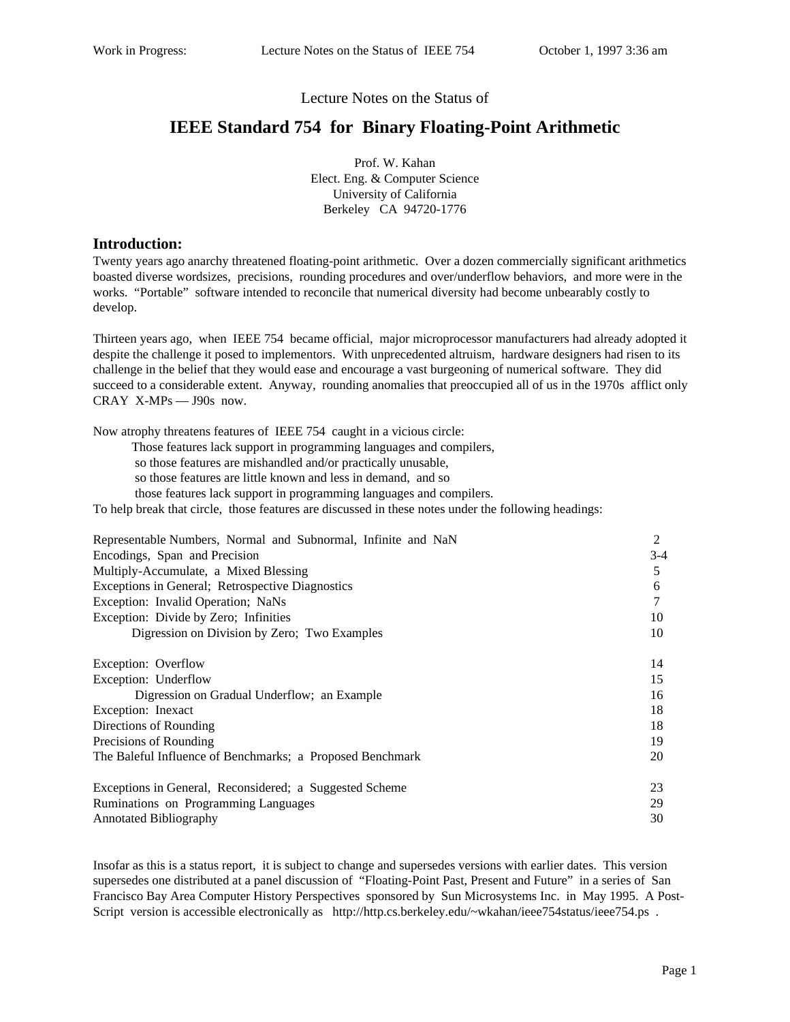# Lecture Notes on the Status of

# **IEEE Standard 754 for Binary Floating-Point Arithmetic**

Prof. W. Kahan Elect. Eng. & Computer Science University of California Berkeley CA 94720-1776

# **Introduction:**

Twenty years ago anarchy threatened floating-point arithmetic. Over a dozen commercially significant arithmetics boasted diverse wordsizes, precisions, rounding procedures and over/underflow behaviors, and more were in the works. "Portable" software intended to reconcile that numerical diversity had become unbearably costly to develop.

Thirteen years ago, when IEEE 754 became official, major microprocessor manufacturers had already adopted it despite the challenge it posed to implementors. With unprecedented altruism, hardware designers had risen to its challenge in the belief that they would ease and encourage a vast burgeoning of numerical software. They did succeed to a considerable extent. Anyway, rounding anomalies that preoccupied all of us in the 1970s afflict only CRAY X-MPs — J90s now.

Now atrophy threatens features of IEEE 754 caught in a vicious circle:

Those features lack support in programming languages and compilers,

so those features are mishandled and/or practically unusable,

so those features are little known and less in demand, and so

those features lack support in programming languages and compilers.

To help break that circle, those features are discussed in these notes under the following headings:

| Representable Numbers, Normal and Subnormal, Infinite and NaN |       |
|---------------------------------------------------------------|-------|
| Encodings, Span and Precision                                 | $3-4$ |
| Multiply-Accumulate, a Mixed Blessing                         | 5     |
| Exceptions in General; Retrospective Diagnostics              | 6     |
| Exception: Invalid Operation; NaNs                            | 7     |
| Exception: Divide by Zero; Infinities                         | 10    |
| Digression on Division by Zero; Two Examples                  | 10    |
| Exception: Overflow                                           | 14    |
| Exception: Underflow                                          | 15    |
| Digression on Gradual Underflow; an Example                   | 16    |
| Exception: Inexact                                            | 18    |
| Directions of Rounding                                        | 18    |
| Precisions of Rounding                                        | 19    |
| The Baleful Influence of Benchmarks; a Proposed Benchmark     | 20    |
| Exceptions in General, Reconsidered; a Suggested Scheme       | 23    |
| Ruminations on Programming Languages                          | 29    |
| <b>Annotated Bibliography</b>                                 | 30    |

Insofar as this is a status report, it is subject to change and supersedes versions with earlier dates. This version supersedes one distributed at a panel discussion of "Floating-Point Past, Present and Future" in a series of San Francisco Bay Area Computer History Perspectives sponsored by Sun Microsystems Inc. in May 1995. A Post-Script version is accessible electronically as http://http.cs.berkeley.edu/~wkahan/ieee754status/ieee754.ps .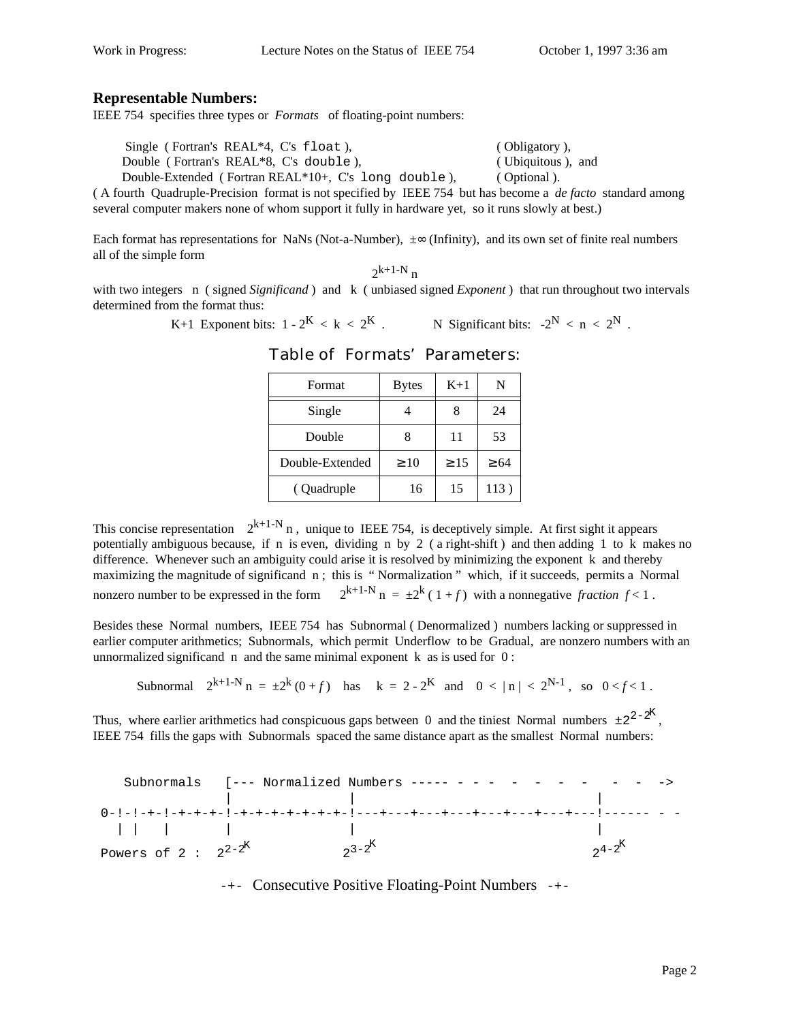# **Representable Numbers:**

IEEE 754 specifies three types or *Formats* of floating-point numbers:

| Single (Fortran's REAL*4, C's float),                    | (Obligatory),     |
|----------------------------------------------------------|-------------------|
| Double (Fortran's REAL*8, C's double),                   | (Ubiquitous), and |
| Double-Extended (Fortran REAL $*10+$ , C's long double), | (Optional).       |

( A fourth Quadruple-Precision format is not specified by IEEE 754 but has become a *de facto* standard among several computer makers none of whom support it fully in hardware yet, so it runs slowly at best.)

Each format has representations for NaNs (Not-a-Number),  $\pm$  (Infinity), and its own set of finite real numbers all of the simple form

 $2^{k+1-N}$  n

with two integers n ( signed *Significand* ) and k ( unbiased signed *Exponent* ) that run throughout two intervals determined from the format thus:

K+1 Exponent bits:  $1 - 2^{K} < k < 2^{K}$ . N Significant bits:  $-2^{N} < n < 2^{N}$ .

| Format          | <b>Bytes</b> | $K+1$ | N    |
|-----------------|--------------|-------|------|
| Single          |              |       | 24   |
| Double          |              | 11    | 53   |
| Double-Extended | 10           | 15    | 64   |
| (Quadruple      | 16           | 15    | 113) |

Table of Formats' Parameters:

This concise representation  $2^{k+1-N}$  n, unique to IEEE 754, is deceptively simple. At first sight it appears potentially ambiguous because, if n is even, dividing n by 2 ( a right-shift ) and then adding 1 to k makes no difference. Whenever such an ambiguity could arise it is resolved by minimizing the exponent k and thereby maximizing the magnitude of significand n ; this is " Normalization " which, if it succeeds, permits a Normal nonzero number to be expressed in the form  $2^{k+1-N}$  n =  $\pm 2^k$  (1+f) with a nonnegative *fraction*  $f < 1$ .

Besides these Normal numbers, IEEE 754 has Subnormal ( Denormalized ) numbers lacking or suppressed in earlier computer arithmetics; Subnormals, which permit Underflow to be Gradual, are nonzero numbers with an unnormalized significand n and the same minimal exponent  $k$  as is used for  $0$ :

Subnormal  $2^{k+1-N}$  n =  $\pm 2^k (0+f)$  has k = 2 - 2<sup>K</sup> and 0 < | n | <  $2^{N-1}$ , so 0 <  $f$  < 1.

Thus, where earlier arithmetics had conspicuous gaps between 0 and the tiniest Normal numbers  $\pm 2^{2-2^K}$ , IEEE 754 fills the gaps with Subnormals spaced the same distance apart as the smallest Normal numbers:



-+- Consecutive Positive Floating-Point Numbers -+-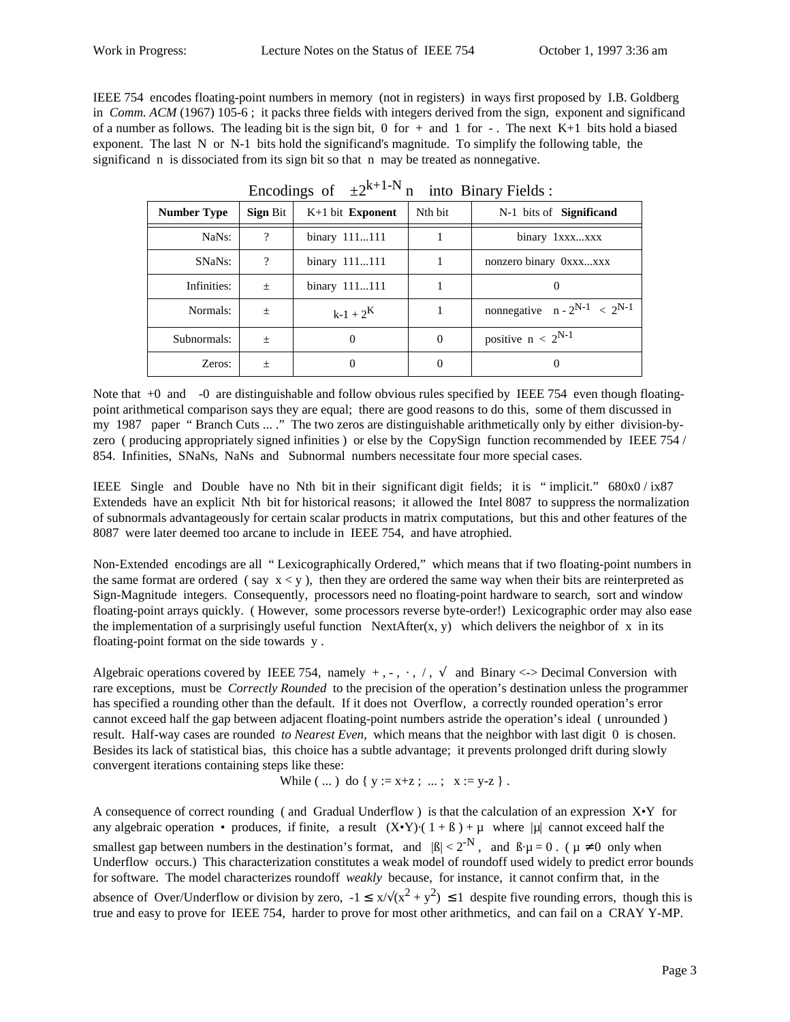IEEE 754 encodes floating-point numbers in memory (not in registers) in ways first proposed by I.B. Goldberg in *Comm. ACM* (1967) 105-6; it packs three fields with integers derived from the sign, exponent and significand of a number as follows. The leading bit is the sign bit,  $0$  for  $+$  and  $1$  for  $-$ . The next K+1 bits hold a biased exponent. The last N or N-1 bits hold the significand's magnitude. To simplify the following table, the significand n is dissociated from its sign bit so that n may be treated as nonnegative.

| <b>Number Type</b> | <b>Sign Bit</b> | $K+1$ bit <b>Exponent</b> | Nth bit  | N-1 bits of <b>Significand</b>      |
|--------------------|-----------------|---------------------------|----------|-------------------------------------|
| NaNs:              | $\overline{?}$  | binary 111111             |          | binary 1xxxxxx                      |
| SNaNs:             | $\overline{?}$  | binary 111111             |          | nonzero binary 0xxxxxx              |
| Infinities:        | $\pm$           | binary 111111             |          | O                                   |
| Normals:           | 土               | $k-1+2^{K}$               |          | nonnegative $n - 2^{N-1} < 2^{N-1}$ |
| Subnormals:        | 土               | 0                         | 0        | positive $n < 2^{N-1}$              |
| Zeros:             | 土               |                           | $\theta$ |                                     |

Encodings of  $\pm 2^{k+1-N}$  n into Binary Fields :

Note that  $+0$  and  $-0$  are distinguishable and follow obvious rules specified by IEEE 754 even though floatingpoint arithmetical comparison says they are equal; there are good reasons to do this, some of them discussed in my 1987 paper " Branch Cuts ... ." The two zeros are distinguishable arithmetically only by either division-byzero ( producing appropriately signed infinities ) or else by the CopySign function recommended by IEEE 754 / 854. Infinities, SNaNs, NaNs and Subnormal numbers necessitate four more special cases.

IEEE Single and Double have no Nth bit in their significant digit fields; it is " implicit." 680x0 / ix87 Extendeds have an explicit Nth bit for historical reasons; it allowed the Intel 8087 to suppress the normalization of subnormals advantageously for certain scalar products in matrix computations, but this and other features of the 8087 were later deemed too arcane to include in IEEE 754, and have atrophied.

Non-Extended encodings are all " Lexicographically Ordered," which means that if two floating-point numbers in the same format are ordered (say  $x < y$ ), then they are ordered the same way when their bits are reinterpreted as Sign-Magnitude integers. Consequently, processors need no floating-point hardware to search, sort and window floating-point arrays quickly. ( However, some processors reverse byte-order!) Lexicographic order may also ease the implementation of a surprisingly useful function NextAfter(x, y) which delivers the neighbor of x in its floating-point format on the side towards y .

Algebraic operations covered by IEEE 754, namely  $+, -, \cdot, /$ , and Binary <-> Decimal Conversion with rare exceptions, must be *Correctly Rounded* to the precision of the operation's destination unless the programmer has specified a rounding other than the default. If it does not Overflow, a correctly rounded operation's error cannot exceed half the gap between adjacent floating-point numbers astride the operation's ideal ( unrounded ) result. Half-way cases are rounded *to Nearest Even*, which means that the neighbor with last digit 0 is chosen. Besides its lack of statistical bias, this choice has a subtle advantage; it prevents prolonged drift during slowly convergent iterations containing steps like these:

While  $(\dots)$  do  $\{y := x+z; \dots; x := y-z\}$ .

A consequence of correct rounding ( and Gradual Underflow ) is that the calculation of an expression X•Y for any algebraic operation • produces, if finite, a result  $(X\cdot Y)\cdot(1 + \beta) + \mu$  where  $|\mu|$  cannot exceed half the smallest gap between numbers in the destination's format, and  $|B| < 2^{-N}$ , and  $B \cdot \mu = 0$ . ( $\mu$  0 only when Underflow occurs.) This characterization constitutes a weak model of roundoff used widely to predict error bounds for software. The model characterizes roundoff *weakly* because, for instance, it cannot confirm that, in the absence of Over/Underflow or division by zero,  $-1$  x/  $(x^2 + y^2)$  1 despite five rounding errors, though this is true and easy to prove for IEEE 754, harder to prove for most other arithmetics, and can fail on a CRAY Y-MP.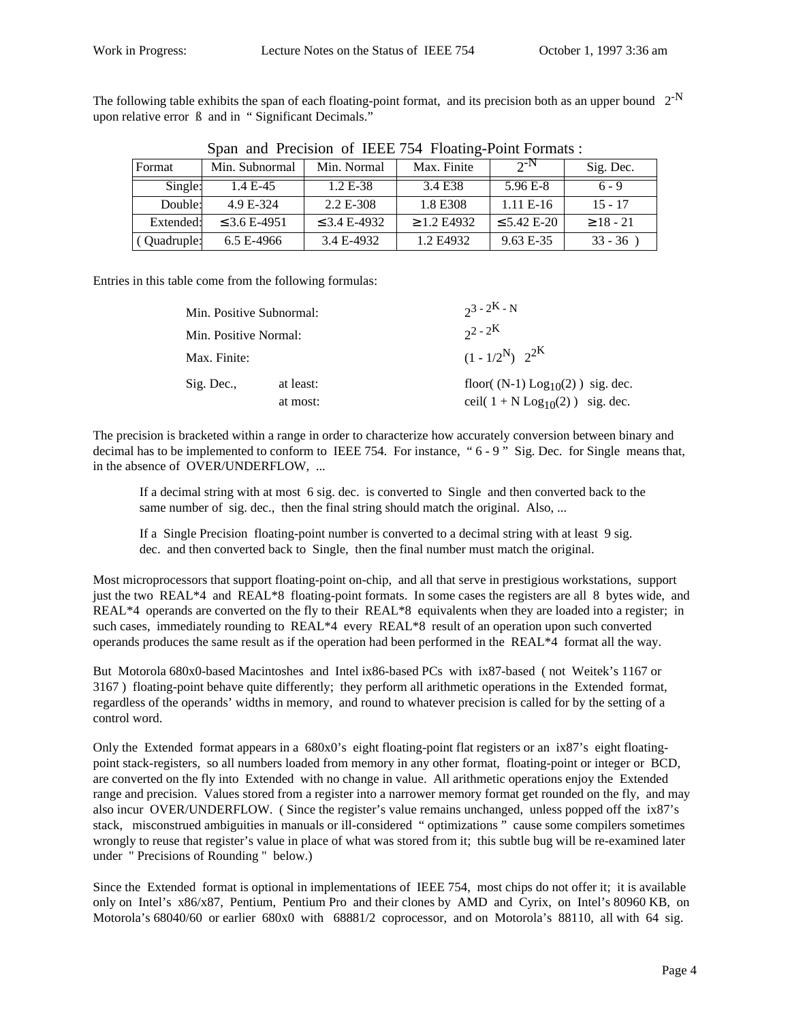The following table exhibits the span of each floating-point format, and its precision both as an upper bound  $2^{-N}$ upon relative error ß and in " Significant Decimals."

|             | $\beta$ of the stression of the $\beta$ of Tomma I of the stress of $\beta$ . |               |             |             |           |
|-------------|-------------------------------------------------------------------------------|---------------|-------------|-------------|-----------|
| Format      | Min. Subnormal                                                                | Min. Normal   | Max. Finite | $2^{-N}$    | Sig. Dec. |
| Single:     | 1.4 E-45                                                                      | $1.2 E - 38$  | 3.4 E38     | $5.96E-8$   | $6 - 9$   |
| Double:     | 4.9 E-324                                                                     | $2.2 E - 308$ | 1.8 E308    | $1.11 E-16$ | $15 - 17$ |
| Extended:   | 3.6 E-4951                                                                    | 3.4 E-4932    | 1.2 E4932   | 5.42 E-20   | $18 - 21$ |
| (Quadruple: | 6.5 E-4966                                                                    | 3.4 E-4932    | 1.2 E4932   | 9.63 E-35   | $33 - 36$ |

Span and Precision of IEEE 754 Floating-Point Formats .

Entries in this table come from the following formulas:

| Min. Positive Subnormal: |           | $2^3 - 2K - N$                         |
|--------------------------|-----------|----------------------------------------|
| Min. Positive Normal:    |           | $2^2 - 2^K$                            |
| Max. Finite:             |           | $(1 - 1/2^N)$ $2^{2K}$                 |
| Sig. Dec.,               | at least: | floor( $(N-1) Log_{10}(2)$ ) sig. dec. |
|                          | at most:  | ceil $(1 + N Log_{10}(2))$ sig. dec.   |

The precision is bracketed within a range in order to characterize how accurately conversion between binary and decimal has to be implemented to conform to IEEE 754. For instance, " 6 - 9 " Sig. Dec. for Single means that, in the absence of OVER/UNDERFLOW, ...

If a decimal string with at most 6 sig. dec. is converted to Single and then converted back to the same number of sig. dec., then the final string should match the original. Also, ...

If a Single Precision floating-point number is converted to a decimal string with at least 9 sig. dec. and then converted back to Single, then the final number must match the original.

Most microprocessors that support floating-point on-chip, and all that serve in prestigious workstations, support just the two REAL\*4 and REAL\*8 floating-point formats. In some cases the registers are all 8 bytes wide, and REAL\*4 operands are converted on the fly to their REAL\*8 equivalents when they are loaded into a register; in such cases, immediately rounding to REAL\*4 every REAL\*8 result of an operation upon such converted operands produces the same result as if the operation had been performed in the REAL\*4 format all the way.

But Motorola 680x0-based Macintoshes and Intel ix86-based PCs with ix87-based ( not Weitek's 1167 or 3167 ) floating-point behave quite differently; they perform all arithmetic operations in the Extended format, regardless of the operands' widths in memory, and round to whatever precision is called for by the setting of a control word.

Only the Extended format appears in a 680x0's eight floating-point flat registers or an ix87's eight floatingpoint stack-registers, so all numbers loaded from memory in any other format, floating-point or integer or BCD, are converted on the fly into Extended with no change in value. All arithmetic operations enjoy the Extended range and precision. Values stored from a register into a narrower memory format get rounded on the fly, and may also incur OVER/UNDERFLOW. ( Since the register's value remains unchanged, unless popped off the ix87's stack, misconstrued ambiguities in manuals or ill-considered " optimizations " cause some compilers sometimes wrongly to reuse that register's value in place of what was stored from it; this subtle bug will be re-examined later under " Precisions of Rounding " below.)

Since the Extended format is optional in implementations of IEEE 754, most chips do not offer it; it is available only on Intel's x86/x87, Pentium, Pentium Pro and their clones by AMD and Cyrix, on Intel's 80960 KB, on Motorola's 68040/60 or earlier 680x0 with 68881/2 coprocessor, and on Motorola's 88110, all with 64 sig.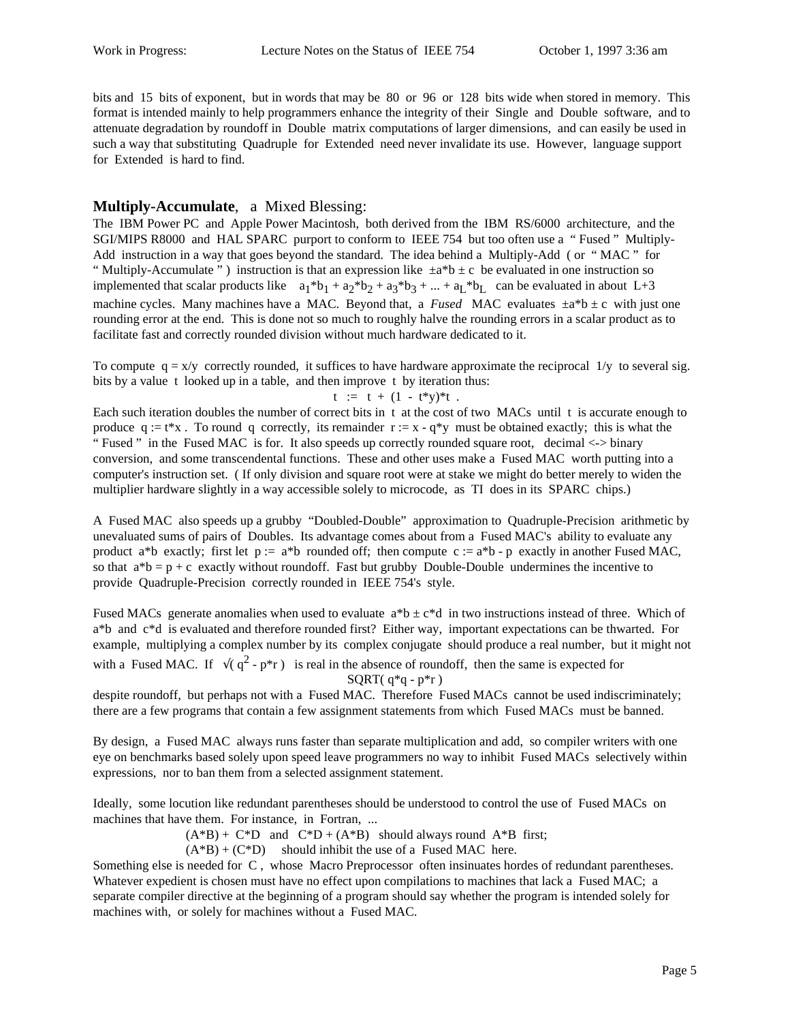bits and 15 bits of exponent, but in words that may be 80 or 96 or 128 bits wide when stored in memory. This format is intended mainly to help programmers enhance the integrity of their Single and Double software, and to attenuate degradation by roundoff in Double matrix computations of larger dimensions, and can easily be used in such a way that substituting Quadruple for Extended need never invalidate its use. However, language support for Extended is hard to find.

# **Multiply-Accumulate**, a Mixed Blessing:

The IBM Power PC and Apple Power Macintosh, both derived from the IBM RS/6000 architecture, and the SGI/MIPS R8000 and HAL SPARC purport to conform to IEEE 754 but too often use a " Fused " Multiply-Add instruction in a way that goes beyond the standard. The idea behind a Multiply-Add ( or " MAC " for " Multiply-Accumulate " ) instruction is that an expression like  $\pm a^*b \pm c$  be evaluated in one instruction so implemented that scalar products like  $a_1 * b_1 + a_2 * b_2 + a_3 * b_3 + ... + a_L * b_L$  can be evaluated in about L+3 machine cycles. Many machines have a MAC. Beyond that, a *Fused* MAC evaluates  $\pm a^*b \pm c$  with just one rounding error at the end. This is done not so much to roughly halve the rounding errors in a scalar product as to facilitate fast and correctly rounded division without much hardware dedicated to it.

To compute  $q = x/y$  correctly rounded, it suffices to have hardware approximate the reciprocal 1/y to several sig. bits by a value t looked up in a table, and then improve t by iteration thus:

$$
t := t + (1 - t^*y)^*t
$$
.

Each such iteration doubles the number of correct bits in t at the cost of two MACs until t is accurate enough to produce  $q := t^*x$ . To round q correctly, its remainder  $r := x - q^*y$  must be obtained exactly; this is what the " Fused " in the Fused MAC is for. It also speeds up correctly rounded square root, decimal <-> binary conversion, and some transcendental functions. These and other uses make a Fused MAC worth putting into a computer's instruction set. ( If only division and square root were at stake we might do better merely to widen the multiplier hardware slightly in a way accessible solely to microcode, as TI does in its SPARC chips.)

A Fused MAC also speeds up a grubby "Doubled-Double" approximation to Quadruple-Precision arithmetic by unevaluated sums of pairs of Doubles. Its advantage comes about from a Fused MAC's ability to evaluate any product a<sup>\*b</sup> exactly; first let  $p := a^*b$  rounded off; then compute  $c := a^*b - p$  exactly in another Fused MAC, so that  $a^*b = p + c$  exactly without roundoff. Fast but grubby Double-Double undermines the incentive to provide Quadruple-Precision correctly rounded in IEEE 754's style.

Fused MACs generate anomalies when used to evaluate  $a^*b \pm c^*d$  in two instructions instead of three. Which of a\*b and c\*d is evaluated and therefore rounded first? Either way, important expectations can be thwarted. For example, multiplying a complex number by its complex conjugate should produce a real number, but it might not

with a Fused MAC. If  $(q^2 - p^*r)$  is real in the absence of roundoff, then the same is expected for SQRT( $q^*q - p^*r$ )

despite roundoff, but perhaps not with a Fused MAC. Therefore Fused MACs cannot be used indiscriminately; there are a few programs that contain a few assignment statements from which Fused MACs must be banned.

By design, a Fused MAC always runs faster than separate multiplication and add, so compiler writers with one eye on benchmarks based solely upon speed leave programmers no way to inhibit Fused MACs selectively within expressions, nor to ban them from a selected assignment statement.

Ideally, some locution like redundant parentheses should be understood to control the use of Fused MACs on machines that have them. For instance, in Fortran, ...

 $(A*B) + C*D$  and  $C*D + (A*B)$  should always round  $A*B$  first;

 $(A*B) + (C*D)$  should inhibit the use of a Fused MAC here.

Something else is needed for C , whose Macro Preprocessor often insinuates hordes of redundant parentheses. Whatever expedient is chosen must have no effect upon compilations to machines that lack a Fused MAC; a separate compiler directive at the beginning of a program should say whether the program is intended solely for machines with, or solely for machines without a Fused MAC.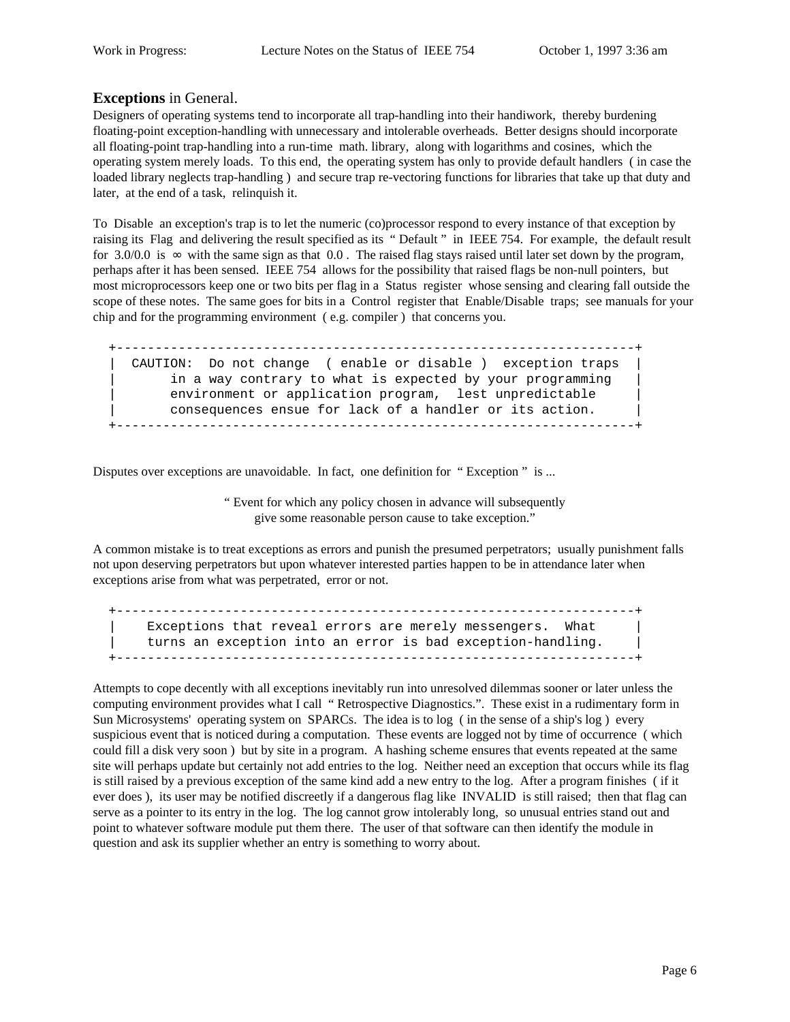# **Exceptions** in General.

Designers of operating systems tend to incorporate all trap-handling into their handiwork, thereby burdening floating-point exception-handling with unnecessary and intolerable overheads. Better designs should incorporate all floating-point trap-handling into a run-time math. library, along with logarithms and cosines, which the operating system merely loads. To this end, the operating system has only to provide default handlers ( in case the loaded library neglects trap-handling ) and secure trap re-vectoring functions for libraries that take up that duty and later, at the end of a task, relinquish it.

To Disable an exception's trap is to let the numeric (co)processor respond to every instance of that exception by raising its Flag and delivering the result specified as its " Default " in IEEE 754. For example, the default result for 3.0/0.0 is with the same sign as that 0.0 . The raised flag stays raised until later set down by the program, perhaps after it has been sensed. IEEE 754 allows for the possibility that raised flags be non-null pointers, but most microprocessors keep one or two bits per flag in a Status register whose sensing and clearing fall outside the scope of these notes. The same goes for bits in a Control register that Enable/Disable traps; see manuals for your chip and for the programming environment ( e.g. compiler ) that concerns you.

 +-------------------------------------------------------------------+ | CAUTION: Do not change ( enable or disable ) exception traps | in a way contrary to what is expected by your programming environment or application program, lest unpredictable consequences ensue for lack of a handler or its action. +-------------------------------------------------------------------+

Disputes over exceptions are unavoidable. In fact, one definition for " Exception " is ...

" Event for which any policy chosen in advance will subsequently give some reasonable person cause to take exception."

A common mistake is to treat exceptions as errors and punish the presumed perpetrators; usually punishment falls not upon deserving perpetrators but upon whatever interested parties happen to be in attendance later when exceptions arise from what was perpetrated, error or not.

 +-------------------------------------------------------------------+ Exceptions that reveal errors are merely messengers. What turns an exception into an error is bad exception-handling. +-------------------------------------------------------------------+

Attempts to cope decently with all exceptions inevitably run into unresolved dilemmas sooner or later unless the computing environment provides what I call " Retrospective Diagnostics.". These exist in a rudimentary form in Sun Microsystems' operating system on SPARCs. The idea is to log ( in the sense of a ship's log ) every suspicious event that is noticed during a computation. These events are logged not by time of occurrence ( which could fill a disk very soon ) but by site in a program. A hashing scheme ensures that events repeated at the same site will perhaps update but certainly not add entries to the log. Neither need an exception that occurs while its flag is still raised by a previous exception of the same kind add a new entry to the log. After a program finishes ( if it ever does ), its user may be notified discreetly if a dangerous flag like INVALID is still raised; then that flag can serve as a pointer to its entry in the log. The log cannot grow intolerably long, so unusual entries stand out and point to whatever software module put them there. The user of that software can then identify the module in question and ask its supplier whether an entry is something to worry about.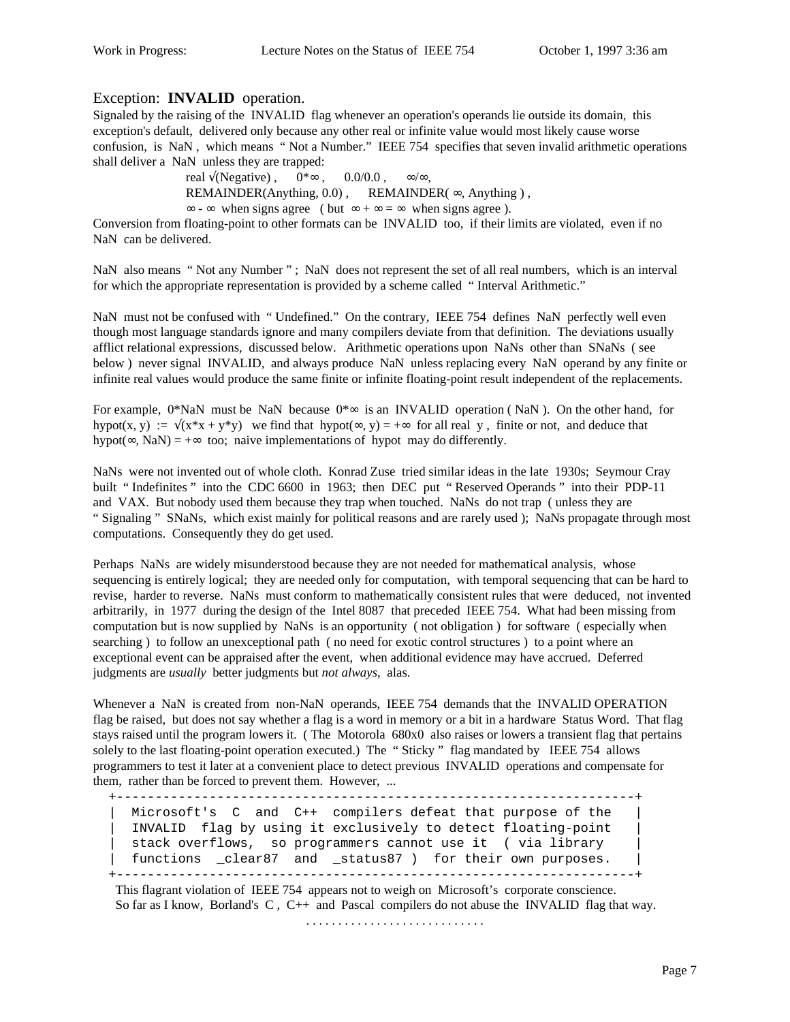# Exception: **INVALID** operation.

Signaled by the raising of the INVALID flag whenever an operation's operands lie outside its domain, this exception's default, delivered only because any other real or infinite value would most likely cause worse confusion, is NaN , which means " Not a Number." IEEE 754 specifies that seven invalid arithmetic operations shall deliver a NaN unless they are trapped:

> real (Negative),  $0^*$ ,  $0.0/0.0$ , /, REMAINDER(Anything, 0.0), REMAINDER(, Anything), - when signs agree ( but  $+$  = when signs agree ).

Conversion from floating-point to other formats can be INVALID too, if their limits are violated, even if no NaN can be delivered.

NaN also means " Not any Number " ; NaN does not represent the set of all real numbers, which is an interval for which the appropriate representation is provided by a scheme called " Interval Arithmetic."

NaN must not be confused with " Undefined." On the contrary, IEEE 754 defines NaN perfectly well even though most language standards ignore and many compilers deviate from that definition. The deviations usually afflict relational expressions, discussed below. Arithmetic operations upon NaNs other than SNaNs ( see below ) never signal INVALID, and always produce NaN unless replacing every NaN operand by any finite or infinite real values would produce the same finite or infinite floating-point result independent of the replacements.

For example, 0\*NaN must be NaN because  $0^*$  is an INVALID operation (NaN). On the other hand, for hypot(x, y) :=  $(x*x + y*y)$  we find that hypot(, y) = + for all real y, finite or not, and deduce that hypot(, NaN) = + too; naive implementations of hypot may do differently.

NaNs were not invented out of whole cloth. Konrad Zuse tried similar ideas in the late 1930s; Seymour Cray built " Indefinites " into the CDC 6600 in 1963; then DEC put " Reserved Operands " into their PDP-11 and VAX. But nobody used them because they trap when touched. NaNs do not trap ( unless they are " Signaling " SNaNs, which exist mainly for political reasons and are rarely used ); NaNs propagate through most computations. Consequently they do get used.

Perhaps NaNs are widely misunderstood because they are not needed for mathematical analysis, whose sequencing is entirely logical; they are needed only for computation, with temporal sequencing that can be hard to revise, harder to reverse. NaNs must conform to mathematically consistent rules that were deduced, not invented arbitrarily, in 1977 during the design of the Intel 8087 that preceded IEEE 754. What had been missing from computation but is now supplied by NaNs is an opportunity ( not obligation ) for software ( especially when searching ) to follow an unexceptional path ( no need for exotic control structures ) to a point where an exceptional event can be appraised after the event, when additional evidence may have accrued. Deferred judgments are *usually* better judgments but *not always*, alas.

Whenever a NaN is created from non-NaN operands, IEEE 754 demands that the INVALID OPERATION flag be raised, but does not say whether a flag is a word in memory or a bit in a hardware Status Word. That flag stays raised until the program lowers it. ( The Motorola 680x0 also raises or lowers a transient flag that pertains solely to the last floating-point operation executed.) The " Sticky " flag mandated by IEEE 754 allows programmers to test it later at a convenient place to detect previous INVALID operations and compensate for them, rather than be forced to prevent them. However, ...

+-------------------------------------------------------------------+

Microsoft's C and C++ compilers defeat that purpose of the | INVALID flag by using it exclusively to detect floating-point | stack overflows, so programmers cannot use it ( via library | functions \_clear87 and \_status87 ) for their own purposes. +-------------------------------------------------------------------+

This flagrant violation of IEEE 754 appears not to weigh on Microsoft's corporate conscience.

So far as I know, Borland's  $C$ ,  $C_{++}$  and Pascal compilers do not abuse the INVALID flag that way. . . . . . . . . . . . . . . . . . . . . . . . . . . . .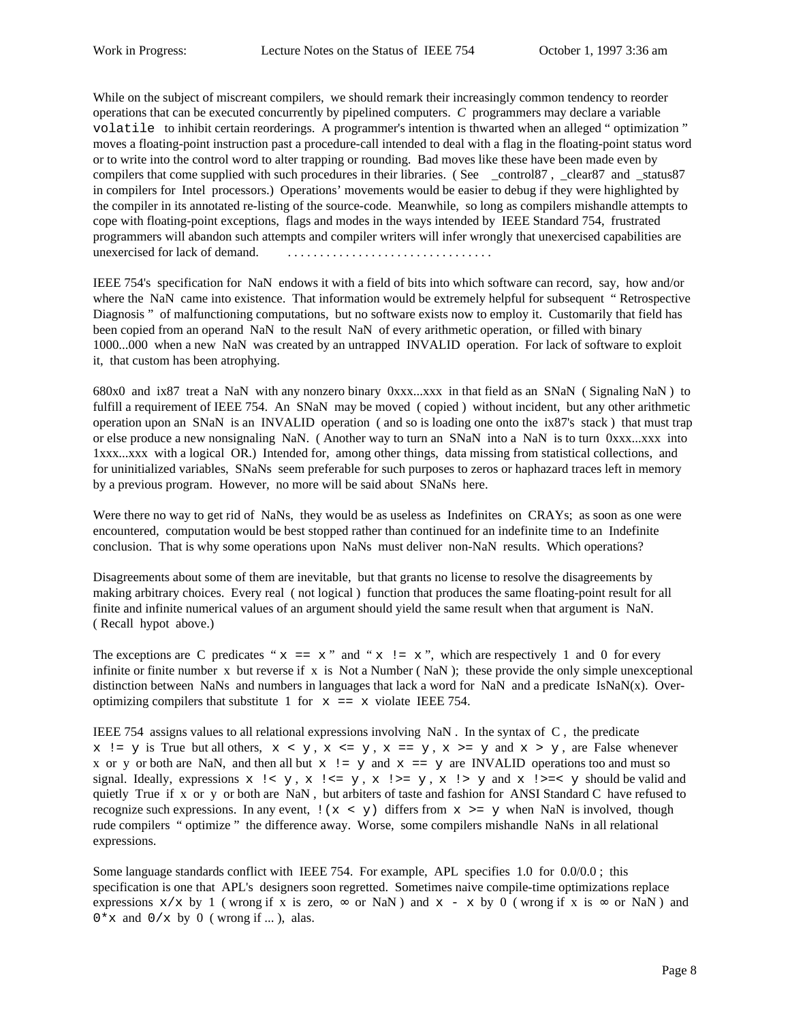While on the subject of miscreant compilers, we should remark their increasingly common tendency to reorder operations that can be executed concurrently by pipelined computers. *C* programmers may declare a variable volatile to inhibit certain reorderings. A programmer's intention is thwarted when an alleged " optimization " moves a floating-point instruction past a procedure-call intended to deal with a flag in the floating-point status word or to write into the control word to alter trapping or rounding. Bad moves like these have been made even by compilers that come supplied with such procedures in their libraries. (See control87, clear87 and status87 in compilers for Intel processors.) Operations' movements would be easier to debug if they were highlighted by the compiler in its annotated re-listing of the source-code. Meanwhile, so long as compilers mishandle attempts to cope with floating-point exceptions, flags and modes in the ways intended by IEEE Standard 754, frustrated programmers will abandon such attempts and compiler writers will infer wrongly that unexercised capabilities are unexercised for lack of demand. . . . . . . . . . . . . . . . . . . . . . . . . . . . . . . . .

IEEE 754's specification for NaN endows it with a field of bits into which software can record, say, how and/or where the NaN came into existence. That information would be extremely helpful for subsequent " Retrospective Diagnosis " of malfunctioning computations, but no software exists now to employ it. Customarily that field has been copied from an operand NaN to the result NaN of every arithmetic operation, or filled with binary 1000...000 when a new NaN was created by an untrapped INVALID operation. For lack of software to exploit it, that custom has been atrophying.

680x0 and ix87 treat a NaN with any nonzero binary 0xxx...xxx in that field as an SNaN ( Signaling NaN ) to fulfill a requirement of IEEE 754. An SNaN may be moved ( copied ) without incident, but any other arithmetic operation upon an SNaN is an INVALID operation ( and so is loading one onto the ix87's stack ) that must trap or else produce a new nonsignaling NaN. ( Another way to turn an SNaN into a NaN is to turn 0xxx...xxx into 1xxx...xxx with a logical OR.) Intended for, among other things, data missing from statistical collections, and for uninitialized variables, SNaNs seem preferable for such purposes to zeros or haphazard traces left in memory by a previous program. However, no more will be said about SNaNs here.

Were there no way to get rid of NaNs, they would be as useless as Indefinites on CRAYs; as soon as one were encountered, computation would be best stopped rather than continued for an indefinite time to an Indefinite conclusion. That is why some operations upon NaNs must deliver non-NaN results. Which operations?

Disagreements about some of them are inevitable, but that grants no license to resolve the disagreements by making arbitrary choices. Every real ( not logical ) function that produces the same floating-point result for all finite and infinite numerical values of an argument should yield the same result when that argument is NaN. ( Recall hypot above.)

The exceptions are C predicates " $x == x$ " and " $x != x$ ", which are respectively 1 and 0 for every infinite or finite number x but reverse if x is Not a Number (NaN); these provide the only simple unexceptional distinction between NaNs and numbers in languages that lack a word for NaN and a predicate IsNaN(x). Overoptimizing compilers that substitute 1 for  $x == x$  violate IEEE 754.

IEEE 754 assigns values to all relational expressions involving NaN . In the syntax of C , the predicate  $x := y$  is True but all others,  $x < y$ ,  $x \le y$ ,  $x == y$ ,  $x >= y$  and  $x > y$ , are False whenever x or y or both are NaN, and then all but  $x := y$  and  $x == y$  are INVALID operations too and must so signal. Ideally, expressions  $x \leq y$ ,  $x \leq z$ ,  $x \leq z$ ,  $x \leq z$ ,  $x \leq z$  and  $x \leq z$ ,  $y$  should be valid and quietly True if x or y or both are NaN , but arbiters of taste and fashion for ANSI Standard C have refused to recognize such expressions. In any event,  $\{x \le y\}$  differs from  $x \ge y$  when NaN is involved, though rude compilers " optimize " the difference away. Worse, some compilers mishandle NaNs in all relational expressions.

Some language standards conflict with IEEE 754. For example, APL specifies 1.0 for 0.0/0.0 ; this specification is one that APL's designers soon regretted. Sometimes naive compile-time optimizations replace expressions  $x/x$  by 1 (wrong if x is zero, or NaN) and  $x - x$  by 0 (wrong if x is or NaN) and  $0 \star x$  and  $0/x$  by 0 (wrong if ...), alas.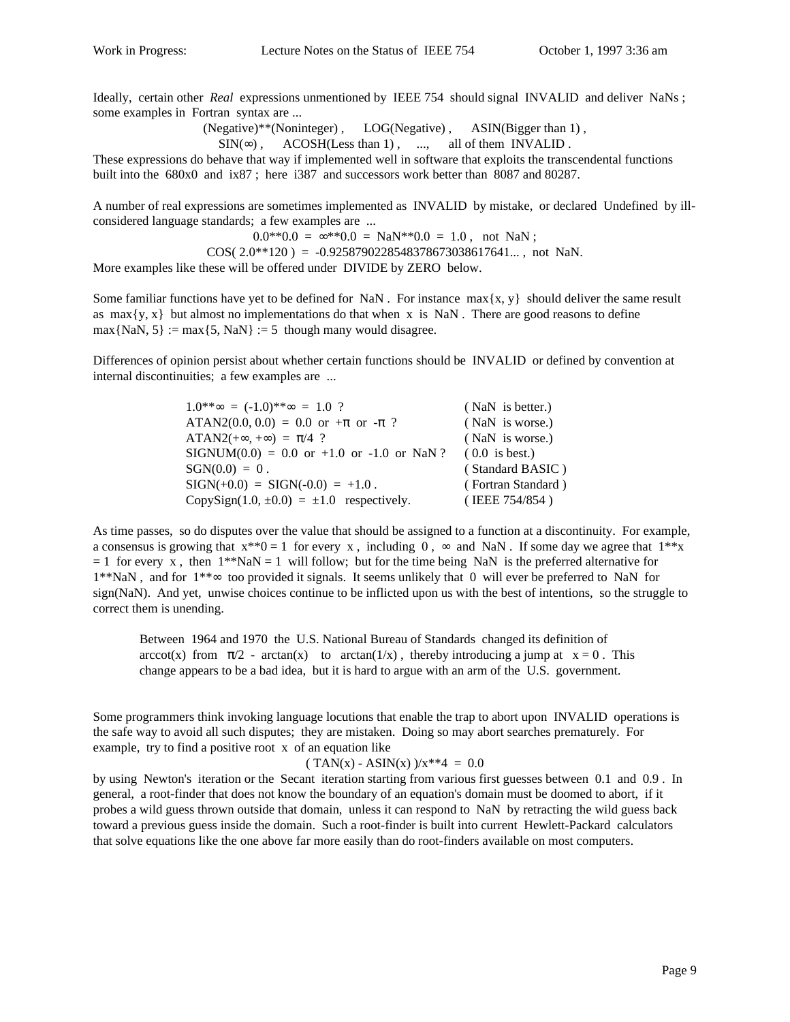Ideally, certain other *Real* expressions unmentioned by IEEE 754 should signal INVALID and deliver NaNs ; some examples in Fortran syntax are ...

(Negative)\*\*(Noninteger) , LOG(Negative) , ASIN(Bigger than 1) ,

$$
SIN( ), \quad ACOSH(Less than 1), \quad \dots, \quad all of them \quad INVALID.
$$

These expressions do behave that way if implemented well in software that exploits the transcendental functions built into the 680x0 and ix87 ; here i387 and successors work better than 8087 and 80287.

A number of real expressions are sometimes implemented as INVALID by mistake, or declared Undefined by illconsidered language standards; a few examples are ...

 $0.0^{**}0.0 =$  \*\* $0.0 =$  NaN\*\* $0.0 = 1.0$ , not NaN;

COS( $2.0^{**}120$ ) = -0.9258790228548378673038617641..., not NaN.

More examples like these will be offered under DIVIDE by ZERO below.

Some familiar functions have yet to be defined for NaN. For instance  $\max\{x, y\}$  should deliver the same result as  $\max\{y, x\}$  but almost no implementations do that when x is NaN. There are good reasons to define  $max\{NaN, 5\} := max\{5, NaN\} := 5$  though many would disagree.

Differences of opinion persist about whether certain functions should be INVALID or defined by convention at internal discontinuities; a few examples are ...

| $1.0^{***}$ = $(-1.0)^{**}$ = 1.0 ?                        | (NaN is better.)   |
|------------------------------------------------------------|--------------------|
| $ATAN2(0.0, 0.0) = 0.0$ or + or - ?                        | (NaN is worse.)    |
| $ATAN2(+,+) = /4$ ?                                        | (NaN is worse.)    |
| $SIGNUM(0.0) = 0.0$ or +1.0 or -1.0 or NaN? (0.0 is best.) |                    |
| $SGN(0.0) = 0$ .                                           | (Standard BASIC)   |
| $SIGN(+0.0) = SIGN(-0.0) = +1.0$ .                         | (Fortran Standard) |
| CopySign(1.0, $\pm 0.0$ ) = $\pm 1.0$ respectively.        | (IEEE 754/854)     |

As time passes, so do disputes over the value that should be assigned to a function at a discontinuity. For example, a consensus is growing that  $x^{**}0 = 1$  for every x, including 0, and NaN. If some day we agree that  $1^{**}x$  $= 1$  for every x, then  $1**NaN = 1$  will follow; but for the time being NaN is the preferred alternative for 1\*\*NaN , and for 1\*\* too provided it signals. It seems unlikely that 0 will ever be preferred to NaN for sign(NaN). And yet, unwise choices continue to be inflicted upon us with the best of intentions, so the struggle to correct them is unending.

Between 1964 and 1970 the U.S. National Bureau of Standards changed its definition of  $arccot(x)$  from /2 -  $arctan(x)$  to  $arctan(1/x)$ , thereby introducing a jump at  $x = 0$ . This change appears to be a bad idea, but it is hard to argue with an arm of the U.S. government.

Some programmers think invoking language locutions that enable the trap to abort upon INVALID operations is the safe way to avoid all such disputes; they are mistaken. Doing so may abort searches prematurely. For example, try to find a positive root x of an equation like

 $(TAN(x) - ASIN(x)) / x^{**}4 = 0.0$ 

by using Newton's iteration or the Secant iteration starting from various first guesses between 0.1 and 0.9 . In general, a root-finder that does not know the boundary of an equation's domain must be doomed to abort, if it probes a wild guess thrown outside that domain, unless it can respond to NaN by retracting the wild guess back toward a previous guess inside the domain. Such a root-finder is built into current Hewlett-Packard calculators that solve equations like the one above far more easily than do root-finders available on most computers.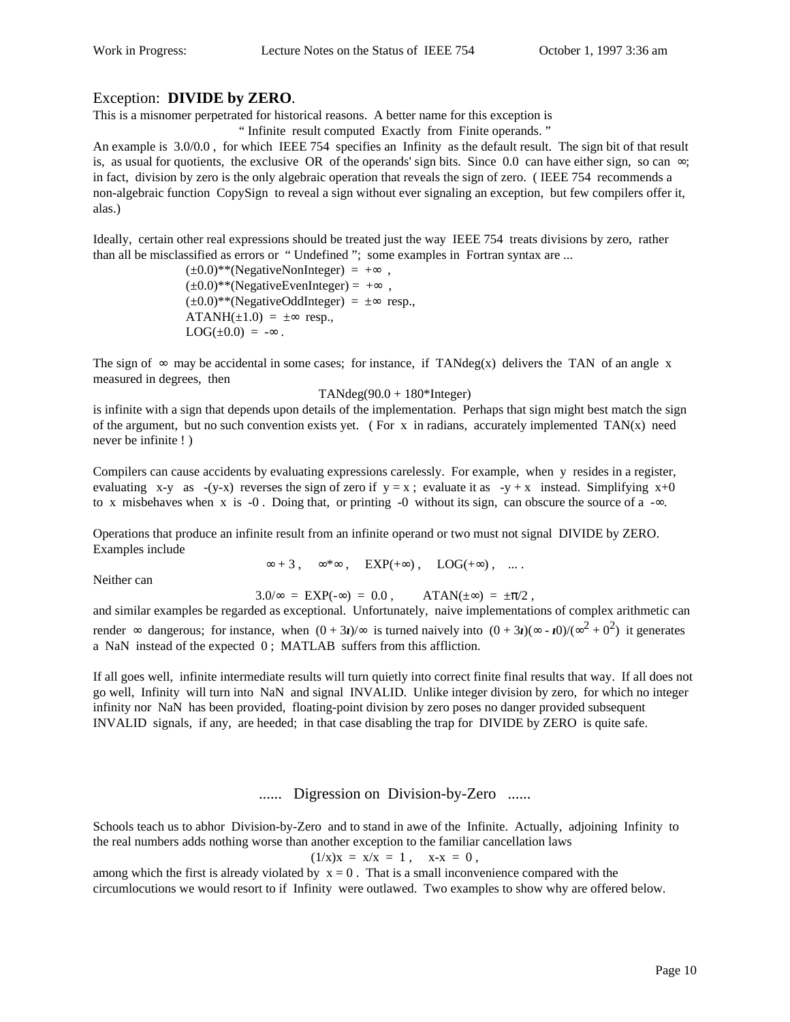### Exception: **DIVIDE by ZERO**.

This is a misnomer perpetrated for historical reasons. A better name for this exception is

" Infinite result computed Exactly from Finite operands. "

An example is 3.0/0.0 , for which IEEE 754 specifies an Infinity as the default result. The sign bit of that result is, as usual for quotients, the exclusive OR of the operands' sign bits. Since  $0.0$  can have either sign, so can in fact, division by zero is the only algebraic operation that reveals the sign of zero. ( IEEE 754 recommends a non-algebraic function CopySign to reveal a sign without ever signaling an exception, but few compilers offer it, alas.)

Ideally, certain other real expressions should be treated just the way IEEE 754 treats divisions by zero, rather than all be misclassified as errors or " Undefined "; some examples in Fortran syntax are ...

> $(\pm 0.0)$ \*\*(NegativeNonInteger) = +  $(\pm 0.0)$ <sup>\*\*</sup>(NegativeEvenInteger) = +  $(\pm 0.0)^{**}$ (NegativeOddInteger) =  $\pm$  resp.,  $ATANH(\pm 1.0) = \pm$  resp.,  $LOG(\pm 0.0) = -$ .

The sign of may be accidental in some cases; for instance, if  $TANdeg(x)$  delivers the TAN of an angle x measured in degrees, then

 $TANdeg(90.0 + 180*Integer)$ 

is infinite with a sign that depends upon details of the implementation. Perhaps that sign might best match the sign of the argument, but no such convention exists yet. (For x in radians, accurately implemented  $TAN(x)$  need never be infinite ! )

Compilers can cause accidents by evaluating expressions carelessly. For example, when y resides in a register, evaluating x-y as  $-(y-x)$  reverses the sign of zero if  $y = x$ ; evaluate it as  $-y + x$  instead. Simplifying  $x+0$ to x misbehaves when x is  $-0$ . Doing that, or printing  $-0$  without its sign, can obscure the source of  $a - 1$ .

Operations that produce an infinite result from an infinite operand or two must not signal DIVIDE by ZERO. Examples include

 $+3$ , \*,  $EXP(+)$ ,  $LOG(+)$ , ....

Neither can

 $3.0'$  = EXP(- ) = 0.0, ATAN( $\pm$  ) =  $\pm$  /2,

and similar examples be regarded as exceptional. Unfortunately, naive implementations of complex arithmetic can render dangerous; for instance, when  $(0 + 3i)$  is turned naively into  $(0 + 3i)$   $(-i0)$ / $(\frac{2}{3} + 0^2)$  it generates a NaN instead of the expected 0 ; MATLAB suffers from this affliction.

If all goes well, infinite intermediate results will turn quietly into correct finite final results that way. If all does not go well, Infinity will turn into NaN and signal INVALID. Unlike integer division by zero, for which no integer infinity nor NaN has been provided, floating-point division by zero poses no danger provided subsequent INVALID signals, if any, are heeded; in that case disabling the trap for DIVIDE by ZERO is quite safe.

...... Digression on Division-by-Zero ......

Schools teach us to abhor Division-by-Zero and to stand in awe of the Infinite. Actually, adjoining Infinity to the real numbers adds nothing worse than another exception to the familiar cancellation laws

$$
(1/x)x = x/x = 1
$$
, x-x = 0,

among which the first is already violated by  $x = 0$ . That is a small inconvenience compared with the circumlocutions we would resort to if Infinity were outlawed. Two examples to show why are offered below.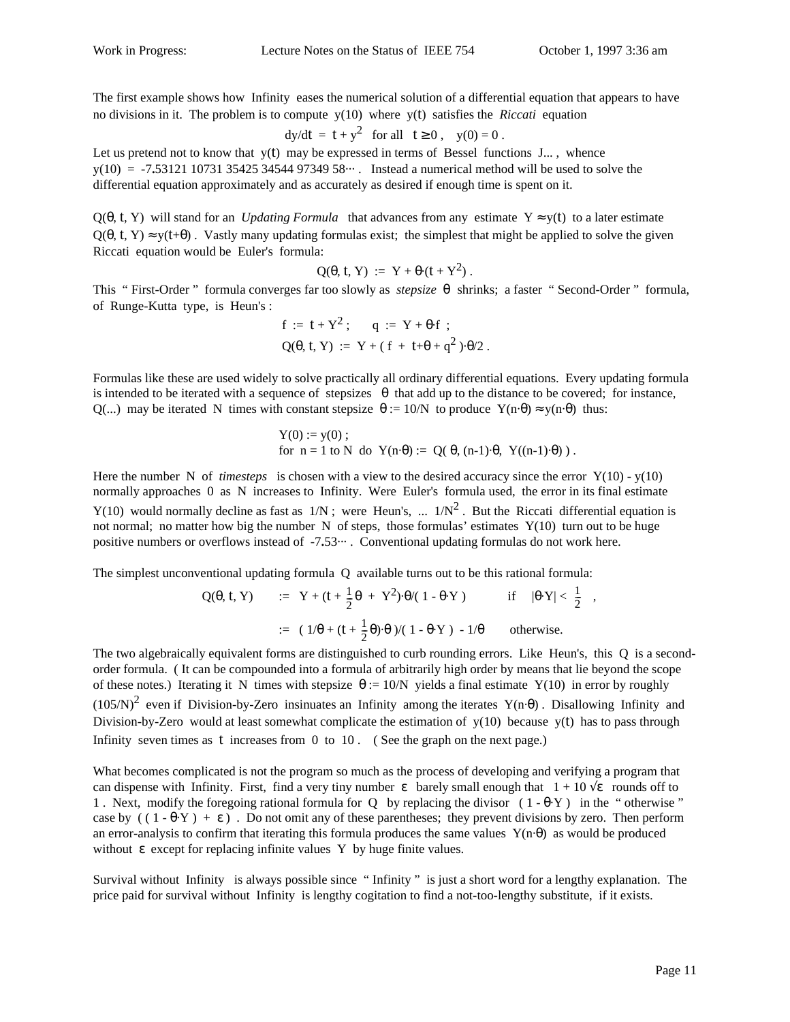The first example shows how Infinity eases the numerical solution of a differential equation that appears to have no divisions in it. The problem is to compute y(10) where y(t) satisfies the *Riccati* equation

$$
dy/dt = t + y^2
$$
 for all t 0,  $y(0) = 0$ .

Let us pretend not to know that  $y(t)$  may be expressed in terms of Bessel functions J..., whence y(10) = -7**.**53121 10731 35425 34544 97349 58··· . Instead a numerical method will be used to solve the differential equation approximately and as accurately as desired if enough time is spent on it.

Q( , t, Y) will stand for an *Updating Formula* that advances from any estimate Y y(t) to a later estimate  $Q( , t, Y)$  y( $t+$ ). Vastly many updating formulas exist; the simplest that might be applied to solve the given Riccati equation would be Euler's formula:

$$
Q(\, ,t,\,Y)\,:=\,Y+\,\cdot (t+Y^2)\,.
$$

This " First-Order " formula converges far too slowly as *stepsize* shrinks; a faster " Second-Order " formula, of Runge-Kutta type, is Heun's :

$$
f := t + Y^2
$$
;  $q := Y + \cdot f$ ;  
Q( $, t, Y$ ) :=  $Y + (f + t + \frac{1}{2}) \cdot /2$ .

Formulas like these are used widely to solve practically all ordinary differential equations. Every updating formula is intended to be iterated with a sequence of stepsizes that add up to the distance to be covered; for instance,  $Q(\ldots)$  may be iterated N times with constant stepsize := 10/N to produce Y(n·) y(n·) thus:

$$
Y(0) := y(0) ;
$$
  
for n = 1 to N do Y(n $\cdot$ ) := Q( $\cdot$ , (n-1) $\cdot$ , Y((n-1) $\cdot$ )).

Here the number N of *timesteps* is chosen with a view to the desired accuracy since the error  $Y(10) - Y(10)$ normally approaches 0 as N increases to Infinity. Were Euler's formula used, the error in its final estimate Y(10) would normally decline as fast as  $1/N$ ; were Heun's, ...  $1/N^2$ . But the Riccati differential equation is not normal; no matter how big the number N of steps, those formulas' estimates Y(10) turn out to be huge positive numbers or overflows instead of -7**.**53··· . Conventional updating formulas do not work here.

The simplest unconventional updating formula Q available turns out to be this rational formula:

Q( ,t, Y) := Y + (t + 
$$
\frac{1}{2}
$$
 + Y<sup>2</sup>) · / (1 - Y) if |Y|  $\frac{1}{2}$ ,  
 := (1/ + (t +  $\frac{1}{2}$ )) · )/(1 - Y) - 1/ otherwise.

The two algebraically equivalent forms are distinguished to curb rounding errors. Like Heun's, this Q is a secondorder formula. ( It can be compounded into a formula of arbitrarily high order by means that lie beyond the scope of these notes.) Iterating it N times with stepsize  $:= 10/N$  yields a final estimate Y(10) in error by roughly  $(105/N)^2$  even if Division-by-Zero insinuates an Infinity among the iterates Y(n·). Disallowing Infinity and Division-by-Zero would at least somewhat complicate the estimation of  $y(10)$  because  $y(t)$  has to pass through Infinity seven times as t increases from 0 to 10. (See the graph on the next page.)

What becomes complicated is not the program so much as the process of developing and verifying a program that can dispense with Infinity. First, find a very tiny number barely small enough that  $1 + 10$  rounds off to 1 . Next, modify the foregoing rational formula for Q by replacing the divisor ( 1 - ·Y ) in the " otherwise " case by  $((1 - Y) + )$ . Do not omit any of these parentheses; they prevent divisions by zero. Then perform an error-analysis to confirm that iterating this formula produces the same values  $Y(n \cdot)$  as would be produced without except for replacing infinite values Y by huge finite values.

Survival without Infinity is always possible since " Infinity " is just a short word for a lengthy explanation. The price paid for survival without Infinity is lengthy cogitation to find a not-too-lengthy substitute, if it exists.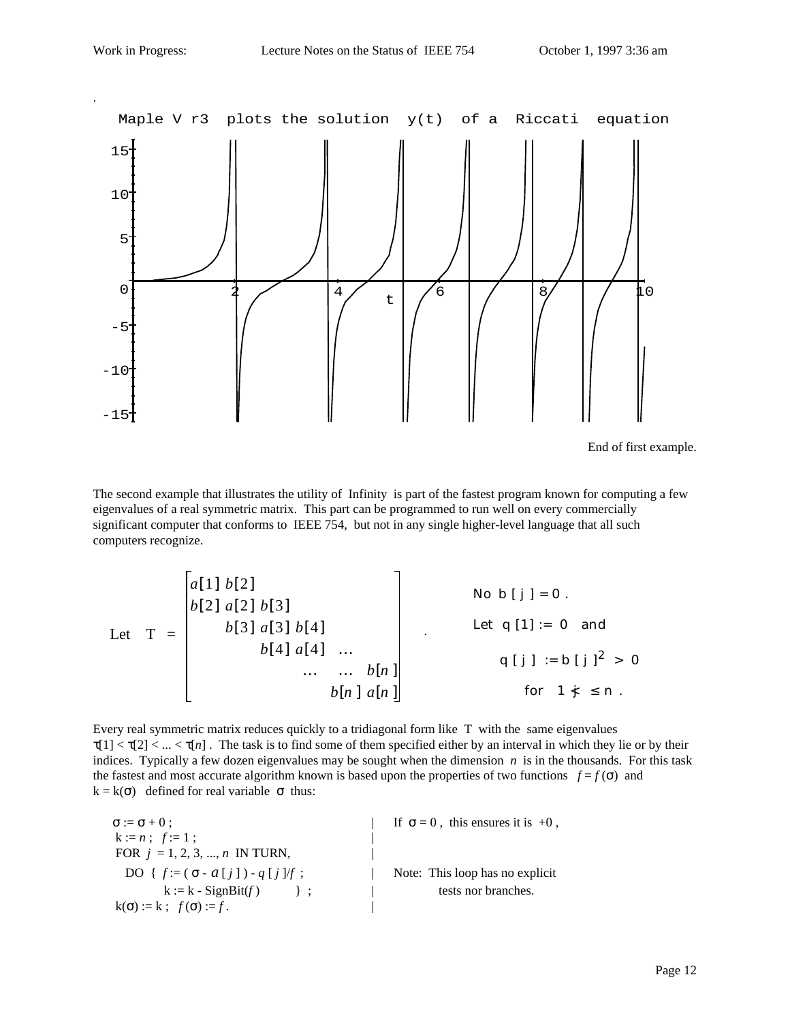

End of first example.

The second example that illustrates the utility of Infinity is part of the fastest program known for computing a few eigenvalues of a real symmetric matrix. This part can be programmed to run well on every commercially significant computer that conforms to IEEE 754, but not in any single higher-level language that all such computers recognize.

Let 
$$
T = \begin{bmatrix} a[1] b[2] \\ b[2] a[2] b[3] \\ b[3] a[3] b[4] \\ b[4] a[4] \\ \vdots \\ b[n] a[n] \end{bmatrix}
$$
 No b[j] = 0.  
Let q[1] := 0 and  
q[j] := b[j]<sup>2</sup> > 0  
for 1 j n.

Every real symmetric matrix reduces quickly to a tridiagonal form like T with the same eigenvalues

 $[1] < [2] < ... < [n]$ . The task is to find some of them specified either by an interval in which they lie or by their indices. Typically a few dozen eigenvalues may be sought when the dimension  $n$  is in the thousands. For this task the fastest and most accurate algorithm known is based upon the properties of two functions  $f = f( )$  and  $k = k( )$  defined for real variable thus:

| $:=$ $+0$ :                     | If $= 0$ , this ensures it is $+0$ , |
|---------------------------------|--------------------------------------|
| $k := n ; f := 1 ;$             |                                      |
| FOR $j = 1, 2, 3, , n$ IN TURN, |                                      |
| DO { $f := ( -a[j]) - q[j]/f ;$ | Note: This loop has no explicit      |
| $k := k -$ SignBit(f) } ;       | tests nor branches.                  |
| k():=k; $f($ ):=f.              |                                      |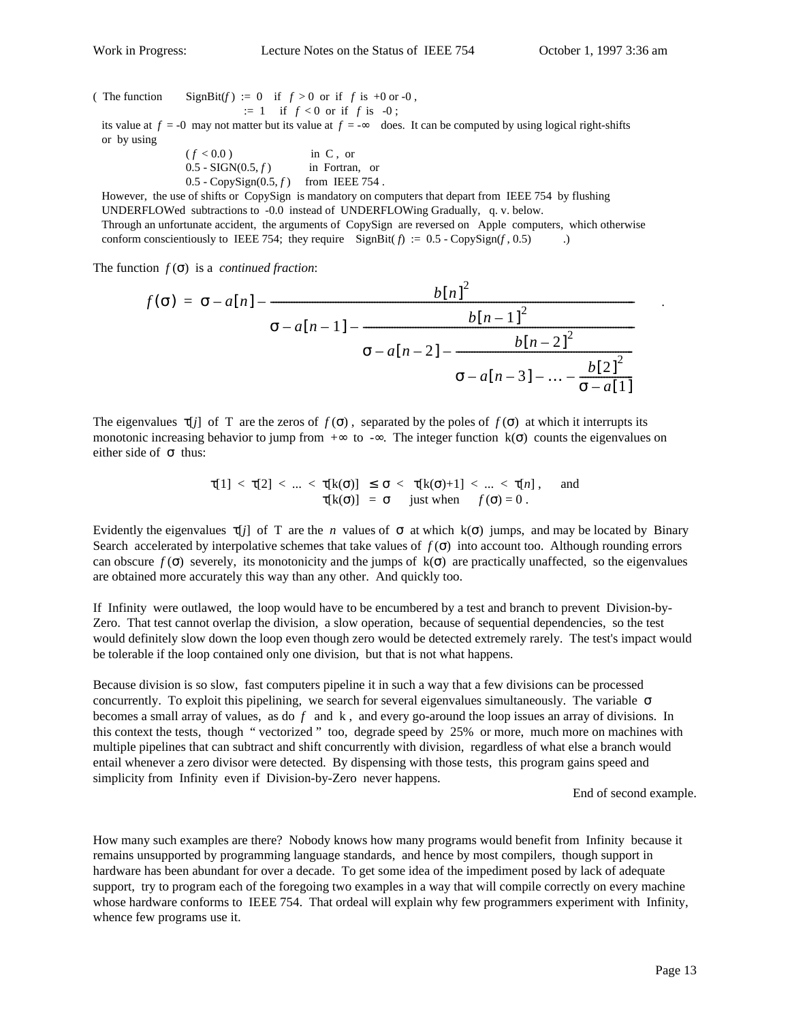( The function SignBit( $f$ ) := 0 if  $f > 0$  or if  $f$  is +0 or -0,

:= 1 if  $f < 0$  or if  $f$  is  $-0$ ; its value at  $f = -0$  may not matter but its value at  $f = -$  does. It can be computed by using logical right-shifts or by using

> $(f < 0.0)$  in C, or  $0.5 - SIGN(0.5, f)$  in Fortran, or  $0.5$  - CopySign $(0.5, f)$  from IEEE 754.

 However, the use of shifts or CopySign is mandatory on computers that depart from IEEE 754 by flushing UNDERFLOWed subtractions to -0.0 instead of UNDERFLOWing Gradually, q. v. below. Through an unfortunate accident, the arguments of CopySign are reversed on Apple computers, which otherwise

conform conscientiously to IEEE 754; they require SignBit( $f$ ) := 0.5 - CopySign( $f$ , 0.5) .)

The function  $f( )$  is a *continued fraction*:

$$
f( ) = -a[n] - \frac{b[n]^2}{-a[n-1] - \frac{b[n-1]^2}{-a[n-2] - \frac{b[n-2]^2}{-a[n-3] - \dots - \frac{b[2]^2}{-a[1]}}}}
$$

 $\overline{a}$ 

The eigenvalues [*j*] of T are the zeros of  $f( )$ , separated by the poles of  $f( )$  at which it interrupts its monotonic increasing behavior to jump from  $+$  to  $-$ . The integer function  $k( )$  counts the eigenvalues on either side of thus:

$$
[1] < [2] < ... < [k( )]
$$
  
\n
$$
[k( )] = [k( )+1] < ... < [n],
$$
 and  
\n
$$
[k( )] = [k( )+1] < ... < [n],
$$
 and  
\n
$$
[k( )] = [k( )+1] < ... < [n],
$$

Evidently the eigenvalues  $[j]$  of T are the *n* values of at which  $k()$  jumps, and may be located by Binary Search accelerated by interpolative schemes that take values of  $f(\cdot)$  into account too. Although rounding errors can obscure  $f(\cdot)$  severely, its monotonicity and the jumps of  $k(\cdot)$  are practically unaffected, so the eigenvalues are obtained more accurately this way than any other. And quickly too.

If Infinity were outlawed, the loop would have to be encumbered by a test and branch to prevent Division-by-Zero. That test cannot overlap the division, a slow operation, because of sequential dependencies, so the test would definitely slow down the loop even though zero would be detected extremely rarely. The test's impact would be tolerable if the loop contained only one division, but that is not what happens.

Because division is so slow, fast computers pipeline it in such a way that a few divisions can be processed concurrently. To exploit this pipelining, we search for several eigenvalues simultaneously. The variable becomes a small array of values, as do *f* and k , and every go-around the loop issues an array of divisions. In this context the tests, though " vectorized " too, degrade speed by 25% or more, much more on machines with multiple pipelines that can subtract and shift concurrently with division, regardless of what else a branch would entail whenever a zero divisor were detected. By dispensing with those tests, this program gains speed and simplicity from Infinity even if Division-by-Zero never happens.

End of second example.

How many such examples are there? Nobody knows how many programs would benefit from Infinity because it remains unsupported by programming language standards, and hence by most compilers, though support in hardware has been abundant for over a decade. To get some idea of the impediment posed by lack of adequate support, try to program each of the foregoing two examples in a way that will compile correctly on every machine whose hardware conforms to IEEE 754. That ordeal will explain why few programmers experiment with Infinity, whence few programs use it.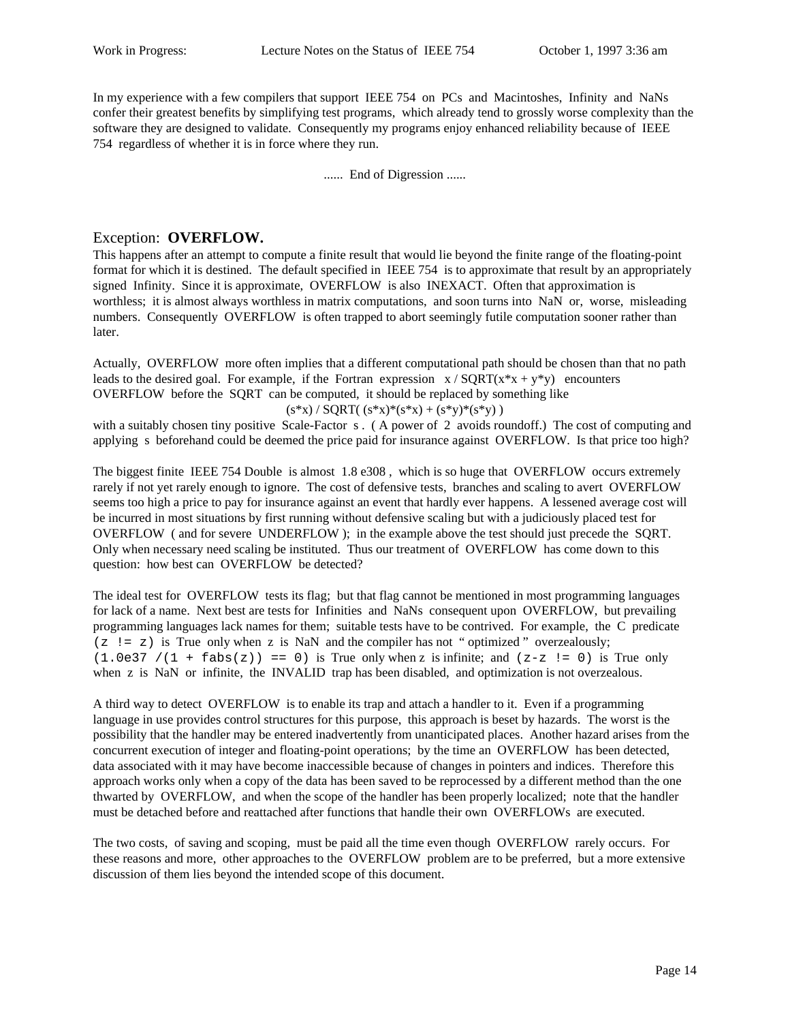In my experience with a few compilers that support IEEE 754 on PCs and Macintoshes, Infinity and NaNs confer their greatest benefits by simplifying test programs, which already tend to grossly worse complexity than the software they are designed to validate. Consequently my programs enjoy enhanced reliability because of IEEE 754 regardless of whether it is in force where they run.

...... End of Digression ......

### Exception: **OVERFLOW.**

This happens after an attempt to compute a finite result that would lie beyond the finite range of the floating-point format for which it is destined. The default specified in IEEE 754 is to approximate that result by an appropriately signed Infinity. Since it is approximate, OVERFLOW is also INEXACT. Often that approximation is worthless; it is almost always worthless in matrix computations, and soon turns into NaN or, worse, misleading numbers. Consequently OVERFLOW is often trapped to abort seemingly futile computation sooner rather than later.

Actually, OVERFLOW more often implies that a different computational path should be chosen than that no path leads to the desired goal. For example, if the Fortran expression  $x / SQRT(x*x + y*y)$  encounters OVERFLOW before the SQRT can be computed, it should be replaced by something like

$$
(s*x) / SQRT( (s*x)*(s*x) + (s*y)*(s*y) )
$$

with a suitably chosen tiny positive Scale-Factor s. (A power of 2 avoids roundoff.) The cost of computing and applying s beforehand could be deemed the price paid for insurance against OVERFLOW. Is that price too high?

The biggest finite IEEE 754 Double is almost 1.8 e308 , which is so huge that OVERFLOW occurs extremely rarely if not yet rarely enough to ignore. The cost of defensive tests, branches and scaling to avert OVERFLOW seems too high a price to pay for insurance against an event that hardly ever happens. A lessened average cost will be incurred in most situations by first running without defensive scaling but with a judiciously placed test for OVERFLOW ( and for severe UNDERFLOW ); in the example above the test should just precede the SQRT. Only when necessary need scaling be instituted. Thus our treatment of OVERFLOW has come down to this question: how best can OVERFLOW be detected?

The ideal test for OVERFLOW tests its flag; but that flag cannot be mentioned in most programming languages for lack of a name. Next best are tests for Infinities and NaNs consequent upon OVERFLOW, but prevailing programming languages lack names for them; suitable tests have to be contrived. For example, the C predicate (z != z) is True only when z is NaN and the compiler has not " optimized " overzealously;  $(1.0e37 / (1 + fabs(z)) == 0)$  is True only when z is infinite; and  $(z-z == 0)$  is True only when z is NaN or infinite, the INVALID trap has been disabled, and optimization is not overzealous.

A third way to detect OVERFLOW is to enable its trap and attach a handler to it. Even if a programming language in use provides control structures for this purpose, this approach is beset by hazards. The worst is the possibility that the handler may be entered inadvertently from unanticipated places. Another hazard arises from the concurrent execution of integer and floating-point operations; by the time an OVERFLOW has been detected, data associated with it may have become inaccessible because of changes in pointers and indices. Therefore this approach works only when a copy of the data has been saved to be reprocessed by a different method than the one thwarted by OVERFLOW, and when the scope of the handler has been properly localized; note that the handler must be detached before and reattached after functions that handle their own OVERFLOWs are executed.

The two costs, of saving and scoping, must be paid all the time even though OVERFLOW rarely occurs. For these reasons and more, other approaches to the OVERFLOW problem are to be preferred, but a more extensive discussion of them lies beyond the intended scope of this document.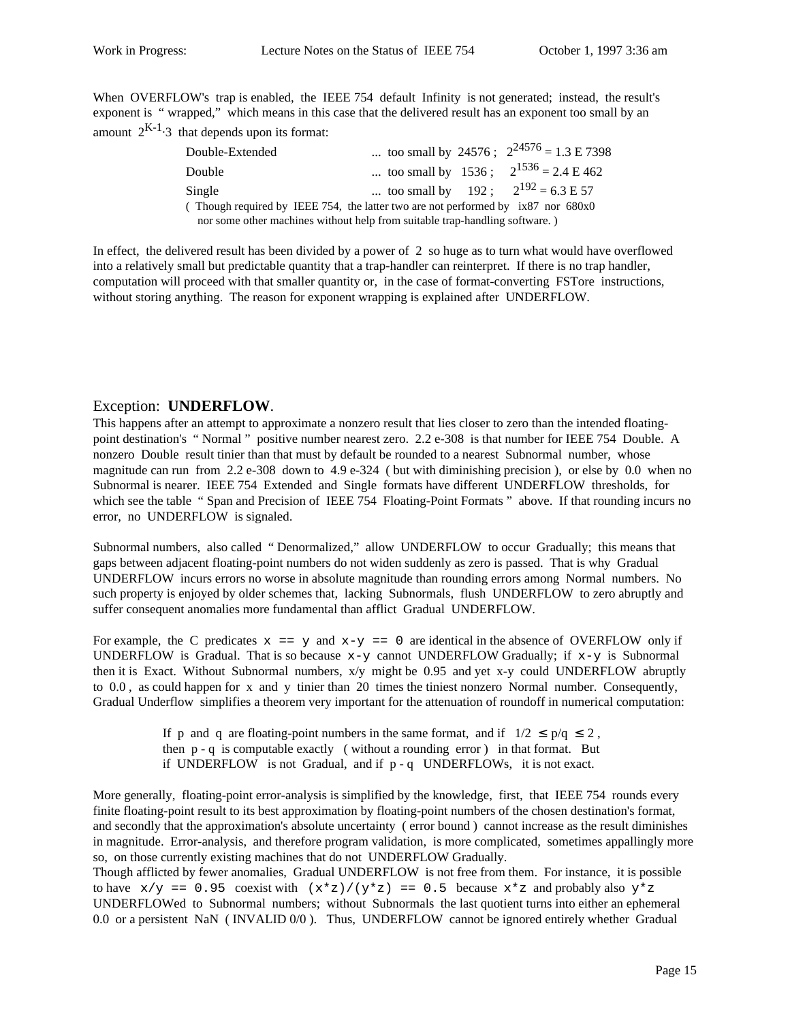When OVERFLOW's trap is enabled, the IEEE 754 default Infinity is not generated; instead, the result's exponent is " wrapped," which means in this case that the delivered result has an exponent too small by an amount  $2^{K-1} \cdot 3$  that depends upon its format:

| Double-Extended                                                                  |  |  | too small by 24576; $2^{24576} = 1.3 \text{ E} 7398$ |
|----------------------------------------------------------------------------------|--|--|------------------------------------------------------|
| Double                                                                           |  |  | too small by 1536; $2^{1536} = 2.4 \text{ E } 462$   |
| Single                                                                           |  |  | too small by 192; $2^{192} = 6.3 \text{ E } 57$      |
| (Though required by IEEE 754, the latter two are not performed by ix87 nor 680x0 |  |  |                                                      |
| nor some other machines without help from suitable trap-handling software.)      |  |  |                                                      |

In effect, the delivered result has been divided by a power of 2 so huge as to turn what would have overflowed into a relatively small but predictable quantity that a trap-handler can reinterpret. If there is no trap handler, computation will proceed with that smaller quantity or, in the case of format-converting FSTore instructions, without storing anything. The reason for exponent wrapping is explained after UNDERFLOW.

### Exception: **UNDERFLOW**.

This happens after an attempt to approximate a nonzero result that lies closer to zero than the intended floatingpoint destination's " Normal " positive number nearest zero. 2.2 e-308 is that number for IEEE 754 Double. A nonzero Double result tinier than that must by default be rounded to a nearest Subnormal number, whose magnitude can run from 2.2 e-308 down to 4.9 e-324 ( but with diminishing precision ), or else by 0.0 when no Subnormal is nearer. IEEE 754 Extended and Single formats have different UNDERFLOW thresholds, for which see the table " Span and Precision of IEEE 754 Floating-Point Formats " above. If that rounding incurs no error, no UNDERFLOW is signaled.

Subnormal numbers, also called " Denormalized," allow UNDERFLOW to occur Gradually; this means that gaps between adjacent floating-point numbers do not widen suddenly as zero is passed. That is why Gradual UNDERFLOW incurs errors no worse in absolute magnitude than rounding errors among Normal numbers. No such property is enjoyed by older schemes that, lacking Subnormals, flush UNDERFLOW to zero abruptly and suffer consequent anomalies more fundamental than afflict Gradual UNDERFLOW.

For example, the C predicates  $x = y$  and  $x-y = 0$  are identical in the absence of OVERFLOW only if UNDERFLOW is Gradual. That is so because  $x-y$  cannot UNDERFLOW Gradually; if  $x-y$  is Subnormal then it is Exact. Without Subnormal numbers, x/y might be 0.95 and yet x-y could UNDERFLOW abruptly to 0.0 , as could happen for x and y tinier than 20 times the tiniest nonzero Normal number. Consequently, Gradual Underflow simplifies a theorem very important for the attenuation of roundoff in numerical computation:

> If p and q are floating-point numbers in the same format, and if  $1/2$  p/q  $2$ , then p - q is computable exactly ( without a rounding error ) in that format. But if UNDERFLOW is not Gradual, and if p - q UNDERFLOWs, it is not exact.

More generally, floating-point error-analysis is simplified by the knowledge, first, that IEEE 754 rounds every finite floating-point result to its best approximation by floating-point numbers of the chosen destination's format, and secondly that the approximation's absolute uncertainty ( error bound ) cannot increase as the result diminishes in magnitude. Error-analysis, and therefore program validation, is more complicated, sometimes appallingly more so, on those currently existing machines that do not UNDERFLOW Gradually.

Though afflicted by fewer anomalies, Gradual UNDERFLOW is not free from them. For instance, it is possible to have  $x/y = 0.95$  coexist with  $(x \times z) / (y \times z) = 0.5$  because  $x \times z$  and probably also  $y \times z$ UNDERFLOWed to Subnormal numbers; without Subnormals the last quotient turns into either an ephemeral 0.0 or a persistent NaN ( INVALID 0/0 ). Thus, UNDERFLOW cannot be ignored entirely whether Gradual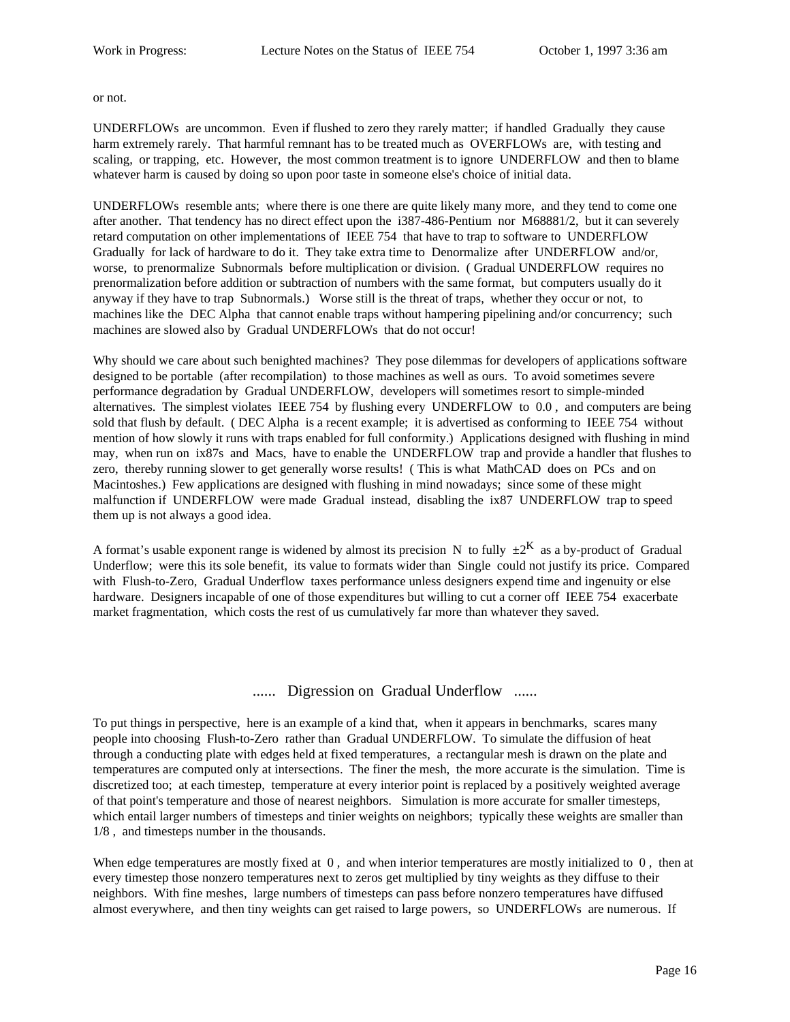or not.

UNDERFLOWs are uncommon. Even if flushed to zero they rarely matter; if handled Gradually they cause harm extremely rarely. That harmful remnant has to be treated much as OVERFLOWs are, with testing and scaling, or trapping, etc. However, the most common treatment is to ignore UNDERFLOW and then to blame whatever harm is caused by doing so upon poor taste in someone else's choice of initial data.

UNDERFLOWs resemble ants; where there is one there are quite likely many more, and they tend to come one after another. That tendency has no direct effect upon the i387-486-Pentium nor M68881/2, but it can severely retard computation on other implementations of IEEE 754 that have to trap to software to UNDERFLOW Gradually for lack of hardware to do it. They take extra time to Denormalize after UNDERFLOW and/or, worse, to prenormalize Subnormals before multiplication or division. ( Gradual UNDERFLOW requires no prenormalization before addition or subtraction of numbers with the same format, but computers usually do it anyway if they have to trap Subnormals.) Worse still is the threat of traps, whether they occur or not, to machines like the DEC Alpha that cannot enable traps without hampering pipelining and/or concurrency; such machines are slowed also by Gradual UNDERFLOWs that do not occur!

Why should we care about such benighted machines? They pose dilemmas for developers of applications software designed to be portable (after recompilation) to those machines as well as ours. To avoid sometimes severe performance degradation by Gradual UNDERFLOW, developers will sometimes resort to simple-minded alternatives. The simplest violates IEEE 754 by flushing every UNDERFLOW to 0.0 , and computers are being sold that flush by default. ( DEC Alpha is a recent example; it is advertised as conforming to IEEE 754 without mention of how slowly it runs with traps enabled for full conformity.) Applications designed with flushing in mind may, when run on ix87s and Macs, have to enable the UNDERFLOW trap and provide a handler that flushes to zero, thereby running slower to get generally worse results! ( This is what MathCAD does on PCs and on Macintoshes.) Few applications are designed with flushing in mind nowadays; since some of these might malfunction if UNDERFLOW were made Gradual instead, disabling the ix87 UNDERFLOW trap to speed them up is not always a good idea.

A format's usable exponent range is widened by almost its precision N to fully  $\pm 2^{K}$  as a by-product of Gradual Underflow; were this its sole benefit, its value to formats wider than Single could not justify its price. Compared with Flush-to-Zero, Gradual Underflow taxes performance unless designers expend time and ingenuity or else hardware. Designers incapable of one of those expenditures but willing to cut a corner off IEEE 754 exacerbate market fragmentation, which costs the rest of us cumulatively far more than whatever they saved.

# ...... Digression on Gradual Underflow ......

To put things in perspective, here is an example of a kind that, when it appears in benchmarks, scares many people into choosing Flush-to-Zero rather than Gradual UNDERFLOW. To simulate the diffusion of heat through a conducting plate with edges held at fixed temperatures, a rectangular mesh is drawn on the plate and temperatures are computed only at intersections. The finer the mesh, the more accurate is the simulation. Time is discretized too; at each timestep, temperature at every interior point is replaced by a positively weighted average of that point's temperature and those of nearest neighbors. Simulation is more accurate for smaller timesteps, which entail larger numbers of timesteps and tinier weights on neighbors; typically these weights are smaller than 1/8 , and timesteps number in the thousands.

When edge temperatures are mostly fixed at 0, and when interior temperatures are mostly initialized to 0, then at every timestep those nonzero temperatures next to zeros get multiplied by tiny weights as they diffuse to their neighbors. With fine meshes, large numbers of timesteps can pass before nonzero temperatures have diffused almost everywhere, and then tiny weights can get raised to large powers, so UNDERFLOWs are numerous. If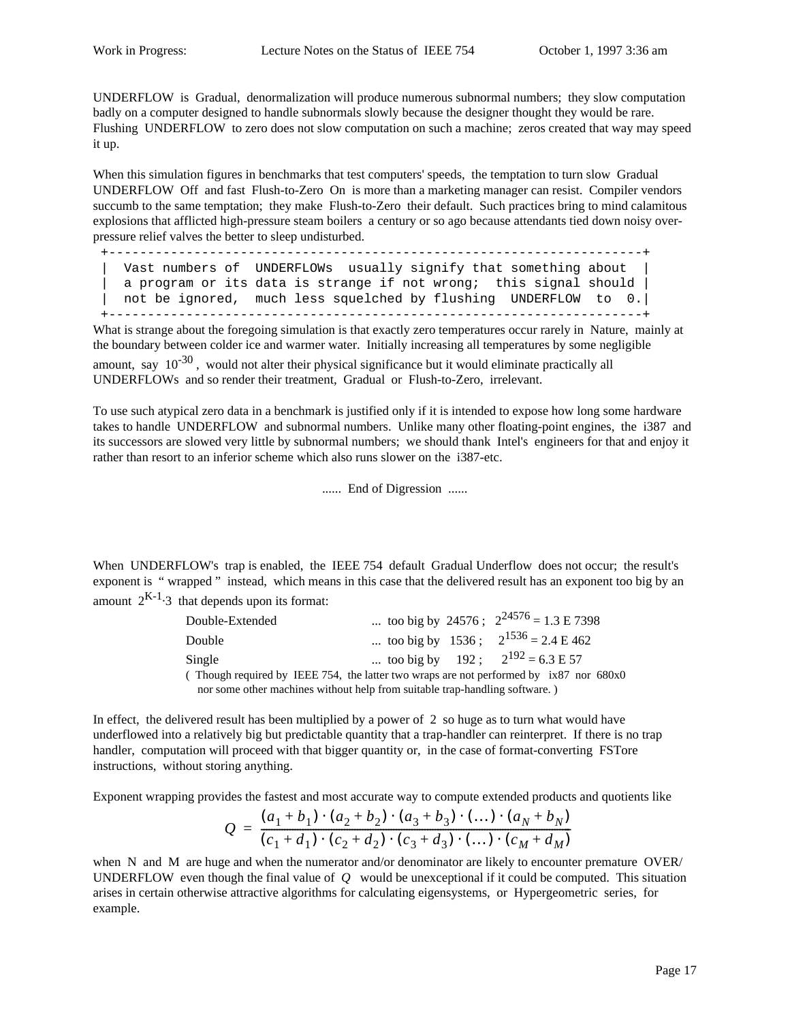UNDERFLOW is Gradual, denormalization will produce numerous subnormal numbers; they slow computation badly on a computer designed to handle subnormals slowly because the designer thought they would be rare. Flushing UNDERFLOW to zero does not slow computation on such a machine; zeros created that way may speed it up.

When this simulation figures in benchmarks that test computers' speeds, the temptation to turn slow Gradual UNDERFLOW Off and fast Flush-to-Zero On is more than a marketing manager can resist. Compiler vendors succumb to the same temptation; they make Flush-to-Zero their default. Such practices bring to mind calamitous explosions that afflicted high-pressure steam boilers a century or so ago because attendants tied down noisy overpressure relief valves the better to sleep undisturbed.

Vast numbers of UNDERFLOWs usually signify that something about a program or its data is strange if not wrong; this signal should  $|$  | not be ignored, much less squelched by flushing UNDERFLOW to 0.| +---------------------------------------------------------------------+

+---------------------------------------------------------------------+

What is strange about the foregoing simulation is that exactly zero temperatures occur rarely in Nature, mainly at the boundary between colder ice and warmer water. Initially increasing all temperatures by some negligible amount, say  $10^{-30}$ , would not alter their physical significance but it would eliminate practically all UNDERFLOWs and so render their treatment, Gradual or Flush-to-Zero, irrelevant.

To use such atypical zero data in a benchmark is justified only if it is intended to expose how long some hardware takes to handle UNDERFLOW and subnormal numbers. Unlike many other floating-point engines, the i387 and its successors are slowed very little by subnormal numbers; we should thank Intel's engineers for that and enjoy it rather than resort to an inferior scheme which also runs slower on the i387-etc.

...... End of Digression ......

When UNDERFLOW's trap is enabled, the IEEE 754 default Gradual Underflow does not occur; the result's exponent is " wrapped " instead, which means in this case that the delivered result has an exponent too big by an amount  $2^{K-1} \cdot 3$  that depends upon its format:

| Double-Extended                                                                        | too big by 24576; $2^{24576} = 1.3 \text{ E } 7398$ |  |
|----------------------------------------------------------------------------------------|-----------------------------------------------------|--|
| Double                                                                                 | too big by 1536; $2^{1536} = 2.4 \text{ E } 462$    |  |
| Single                                                                                 | too big by 192; $2^{192} = 6.3 \text{ E } 57$       |  |
| (Though required by IEEE 754, the latter two wraps are not performed by ix87 nor 680x0 |                                                     |  |
| nor some other machines without help from suitable trap-handling software.)            |                                                     |  |

In effect, the delivered result has been multiplied by a power of 2 so huge as to turn what would have underflowed into a relatively big but predictable quantity that a trap-handler can reinterpret. If there is no trap handler, computation will proceed with that bigger quantity or, in the case of format-converting FSTore instructions, without storing anything.

Exponent wrapping provides the fastest and most accurate way to compute extended products and quotients like

$$
Q = \frac{(a_1 + b_1) (a_2 + b_2) (a_3 + b_3) (...) (a_N + b_N)}{(c_1 + d_1) (c_2 + d_2) (c_3 + d_3) (...) (c_M + d_M)}
$$

when N and M are huge and when the numerator and/or denominator are likely to encounter premature OVER/ UNDERFLOW even though the final value of *Q* would be unexceptional if it could be computed. This situation arises in certain otherwise attractive algorithms for calculating eigensystems, or Hypergeometric series, for example.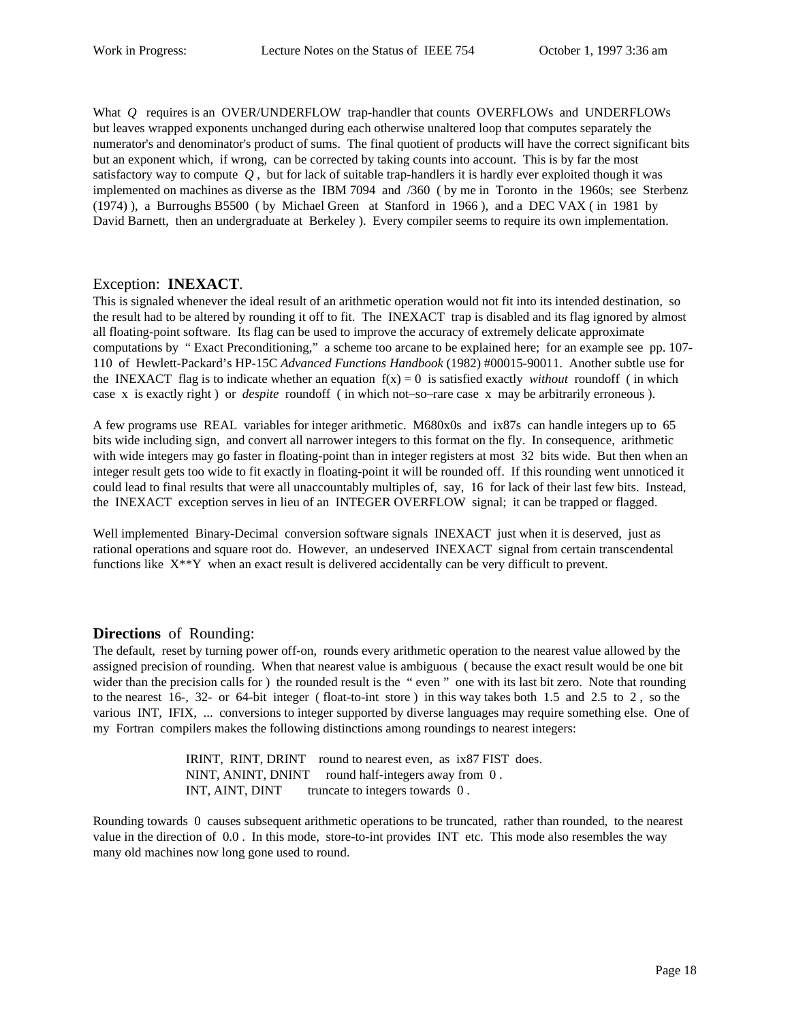What *Q* requires is an OVER/UNDERFLOW trap-handler that counts OVERFLOWs and UNDERFLOWs but leaves wrapped exponents unchanged during each otherwise unaltered loop that computes separately the numerator's and denominator's product of sums. The final quotient of products will have the correct significant bits but an exponent which, if wrong, can be corrected by taking counts into account. This is by far the most satisfactory way to compute *Q* , but for lack of suitable trap-handlers it is hardly ever exploited though it was implemented on machines as diverse as the IBM 7094 and /360 ( by me in Toronto in the 1960s; see Sterbenz (1974) ), a Burroughs B5500 ( by Michael Green at Stanford in 1966 ), and a DEC VAX ( in 1981 by David Barnett, then an undergraduate at Berkeley ). Every compiler seems to require its own implementation.

### Exception: **INEXACT**.

This is signaled whenever the ideal result of an arithmetic operation would not fit into its intended destination, so the result had to be altered by rounding it off to fit. The INEXACT trap is disabled and its flag ignored by almost all floating-point software. Its flag can be used to improve the accuracy of extremely delicate approximate computations by " Exact Preconditioning," a scheme too arcane to be explained here; for an example see pp. 107- 110 of Hewlett-Packard's HP-15C *Advanced Functions Handbook* (1982) #00015-90011. Another subtle use for the INEXACT flag is to indicate whether an equation  $f(x) = 0$  is satisfied exactly *without* roundoff (in which case x is exactly right ) or *despite* roundoff ( in which not–so–rare case x may be arbitrarily erroneous ).

A few programs use REAL variables for integer arithmetic. M680x0s and ix87s can handle integers up to 65 bits wide including sign, and convert all narrower integers to this format on the fly. In consequence, arithmetic with wide integers may go faster in floating-point than in integer registers at most 32 bits wide. But then when an integer result gets too wide to fit exactly in floating-point it will be rounded off. If this rounding went unnoticed it could lead to final results that were all unaccountably multiples of, say, 16 for lack of their last few bits. Instead, the INEXACT exception serves in lieu of an INTEGER OVERFLOW signal; it can be trapped or flagged.

Well implemented Binary-Decimal conversion software signals INEXACT just when it is deserved, just as rational operations and square root do. However, an undeserved INEXACT signal from certain transcendental functions like X\*\*Y when an exact result is delivered accidentally can be very difficult to prevent.

#### **Directions** of Rounding:

The default, reset by turning power off-on, rounds every arithmetic operation to the nearest value allowed by the assigned precision of rounding. When that nearest value is ambiguous ( because the exact result would be one bit wider than the precision calls for ) the rounded result is the " even " one with its last bit zero. Note that rounding to the nearest 16-, 32- or 64-bit integer ( float-to-int store ) in this way takes both 1.5 and 2.5 to 2 , so the various INT, IFIX, ... conversions to integer supported by diverse languages may require something else. One of my Fortran compilers makes the following distinctions among roundings to nearest integers:

> IRINT, RINT, DRINT round to nearest even, as ix87 FIST does. NINT, ANINT, DNINT round half-integers away from 0. INT, AINT, DINT truncate to integers towards 0.

Rounding towards 0 causes subsequent arithmetic operations to be truncated, rather than rounded, to the nearest value in the direction of 0.0 . In this mode, store-to-int provides INT etc. This mode also resembles the way many old machines now long gone used to round.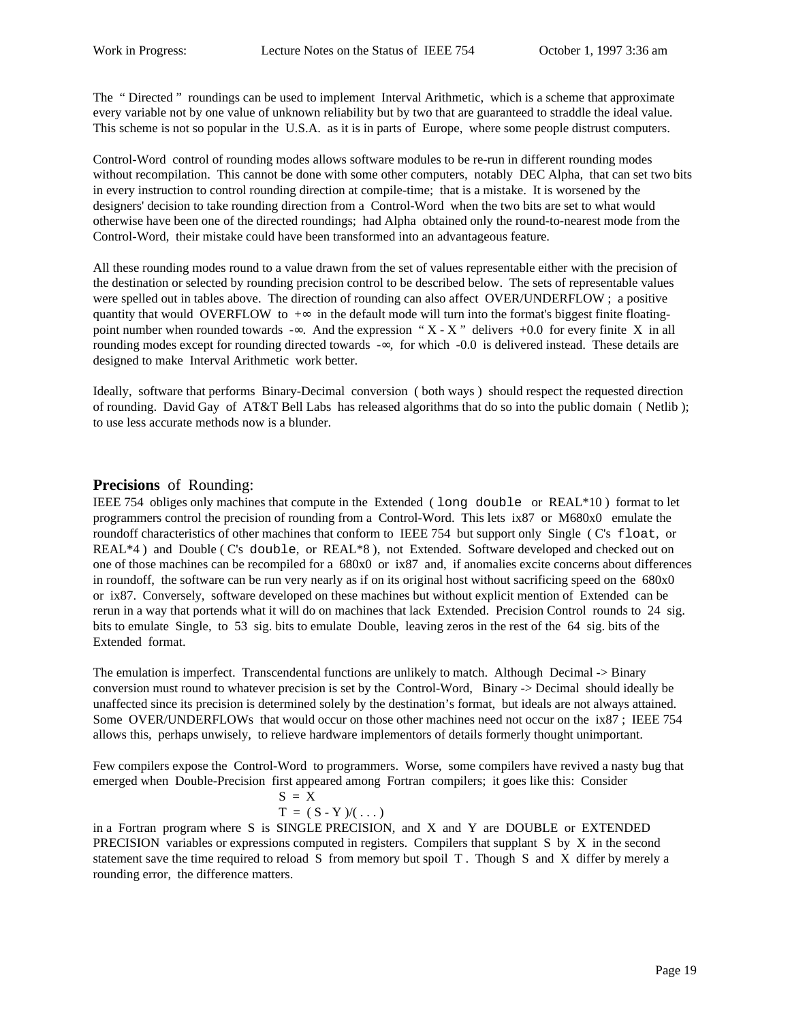The " Directed " roundings can be used to implement Interval Arithmetic, which is a scheme that approximate every variable not by one value of unknown reliability but by two that are guaranteed to straddle the ideal value. This scheme is not so popular in the U.S.A. as it is in parts of Europe, where some people distrust computers.

Control-Word control of rounding modes allows software modules to be re-run in different rounding modes without recompilation. This cannot be done with some other computers, notably DEC Alpha, that can set two bits in every instruction to control rounding direction at compile-time; that is a mistake. It is worsened by the designers' decision to take rounding direction from a Control-Word when the two bits are set to what would otherwise have been one of the directed roundings; had Alpha obtained only the round-to-nearest mode from the Control-Word, their mistake could have been transformed into an advantageous feature.

All these rounding modes round to a value drawn from the set of values representable either with the precision of the destination or selected by rounding precision control to be described below. The sets of representable values were spelled out in tables above. The direction of rounding can also affect OVER/UNDERFLOW ; a positive quantity that would OVERFLOW to  $+$  in the default mode will turn into the format's biggest finite floatingpoint number when rounded towards - . And the expression " $X - X$ " delivers +0.0 for every finite X in all rounding modes except for rounding directed towards - , for which -0.0 is delivered instead. These details are designed to make Interval Arithmetic work better.

Ideally, software that performs Binary-Decimal conversion ( both ways ) should respect the requested direction of rounding. David Gay of AT&T Bell Labs has released algorithms that do so into the public domain ( Netlib ); to use less accurate methods now is a blunder.

#### **Precisions** of Rounding:

IEEE 754 obliges only machines that compute in the Extended ( long double or REAL\*10 ) format to let programmers control the precision of rounding from a Control-Word. This lets ix87 or M680x0 emulate the roundoff characteristics of other machines that conform to IEEE 754 but support only Single (C's float, or REAL\*4 ) and Double ( C's double, or REAL\*8 ), not Extended. Software developed and checked out on one of those machines can be recompiled for a 680x0 or ix87 and, if anomalies excite concerns about differences in roundoff, the software can be run very nearly as if on its original host without sacrificing speed on the 680x0 or ix87. Conversely, software developed on these machines but without explicit mention of Extended can be rerun in a way that portends what it will do on machines that lack Extended. Precision Control rounds to 24 sig. bits to emulate Single, to 53 sig. bits to emulate Double, leaving zeros in the rest of the 64 sig. bits of the Extended format.

The emulation is imperfect. Transcendental functions are unlikely to match. Although Decimal -> Binary conversion must round to whatever precision is set by the Control-Word, Binary -> Decimal should ideally be unaffected since its precision is determined solely by the destination's format, but ideals are not always attained. Some OVER/UNDERFLOWs that would occur on those other machines need not occur on the ix87 ; IEEE 754 allows this, perhaps unwisely, to relieve hardware implementors of details formerly thought unimportant.

Few compilers expose the Control-Word to programmers. Worse, some compilers have revived a nasty bug that emerged when Double-Precision first appeared among Fortran compilers; it goes like this: Consider

$$
S = X
$$
  
T = (S - Y)/(…)

in a Fortran program where S is SINGLE PRECISION, and X and Y are DOUBLE or EXTENDED PRECISION variables or expressions computed in registers. Compilers that supplant S by X in the second statement save the time required to reload S from memory but spoil T . Though S and X differ by merely a rounding error, the difference matters.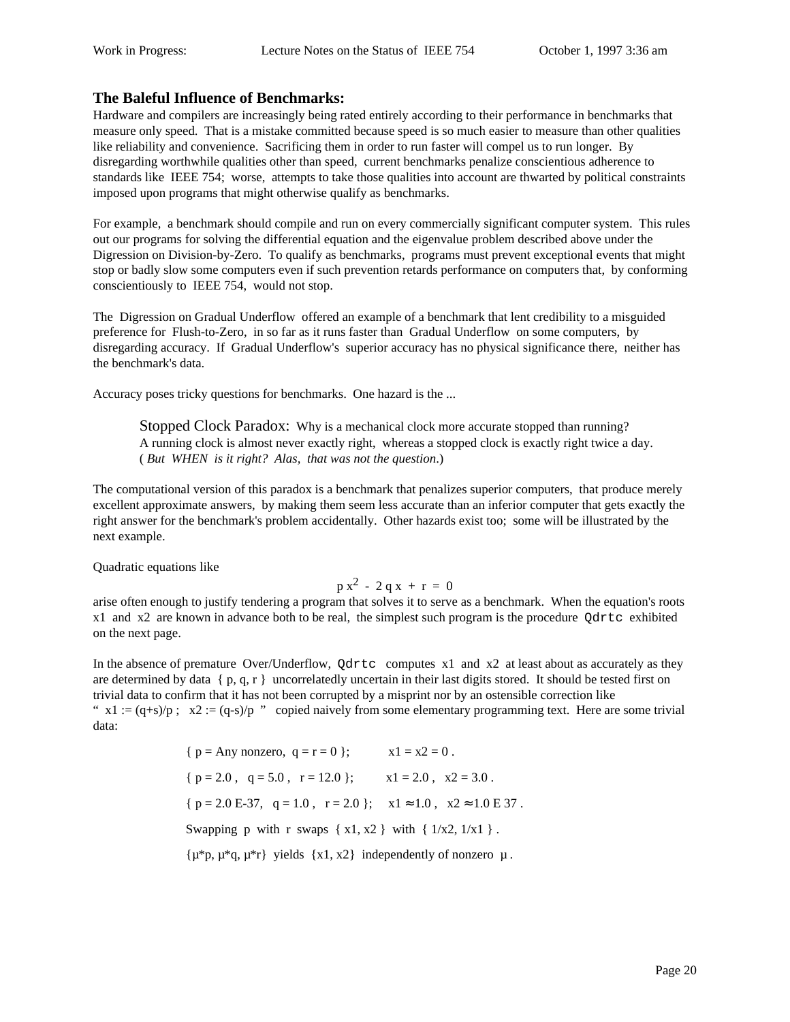# **The Baleful Influence of Benchmarks:**

Hardware and compilers are increasingly being rated entirely according to their performance in benchmarks that measure only speed. That is a mistake committed because speed is so much easier to measure than other qualities like reliability and convenience. Sacrificing them in order to run faster will compel us to run longer. By disregarding worthwhile qualities other than speed, current benchmarks penalize conscientious adherence to standards like IEEE 754; worse, attempts to take those qualities into account are thwarted by political constraints imposed upon programs that might otherwise qualify as benchmarks.

For example, a benchmark should compile and run on every commercially significant computer system. This rules out our programs for solving the differential equation and the eigenvalue problem described above under the Digression on Division-by-Zero. To qualify as benchmarks, programs must prevent exceptional events that might stop or badly slow some computers even if such prevention retards performance on computers that, by conforming conscientiously to IEEE 754, would not stop.

The Digression on Gradual Underflow offered an example of a benchmark that lent credibility to a misguided preference for Flush-to-Zero, in so far as it runs faster than Gradual Underflow on some computers, by disregarding accuracy. If Gradual Underflow's superior accuracy has no physical significance there, neither has the benchmark's data.

Accuracy poses tricky questions for benchmarks. One hazard is the ...

Stopped Clock Paradox: Why is a mechanical clock more accurate stopped than running? A running clock is almost never exactly right, whereas a stopped clock is exactly right twice a day. ( *But WHEN is it right? Alas, that was not the question*.)

The computational version of this paradox is a benchmark that penalizes superior computers, that produce merely excellent approximate answers, by making them seem less accurate than an inferior computer that gets exactly the right answer for the benchmark's problem accidentally. Other hazards exist too; some will be illustrated by the next example.

Quadratic equations like

$$
px^2 - 2qx + r = 0
$$

arise often enough to justify tendering a program that solves it to serve as a benchmark. When the equation's roots x1 and x2 are known in advance both to be real, the simplest such program is the procedure Qdrtc exhibited on the next page.

In the absence of premature Over/Underflow,  $\text{Odrto}$  computes x1 and x2 at least about as accurately as they are determined by data  $\{p, q, r\}$  uncorrelatedly uncertain in their last digits stored. It should be tested first on trivial data to confirm that it has not been corrupted by a misprint nor by an ostensible correction like "  $x1 := (q+s)/p$ ;  $x2 := (q-s)/p$  " copied naively from some elementary programming text. Here are some trivial data:

> {  $p = Any nonzero, q = r = 0$  };  $x1 = x2 = 0$ . { $p = 2.0$ ,  $q = 5.0$ ,  $r = 12.0$ };  $x1 = 2.0$ ,  $x2 = 3.0$ .  ${ p = 2.0 E-37, q = 1.0, r = 2.0 }; \quad x1 \quad 1.0, x2 \quad 1.0 E 37.$ Swapping p with r swaps  $\{x1, x2\}$  with  $\{1/x2, 1/x1\}$ .  $\{\mu^*p, \mu^*q, \mu^*r\}$  yields  $\{x1, x2\}$  independently of nonzero  $\mu$ .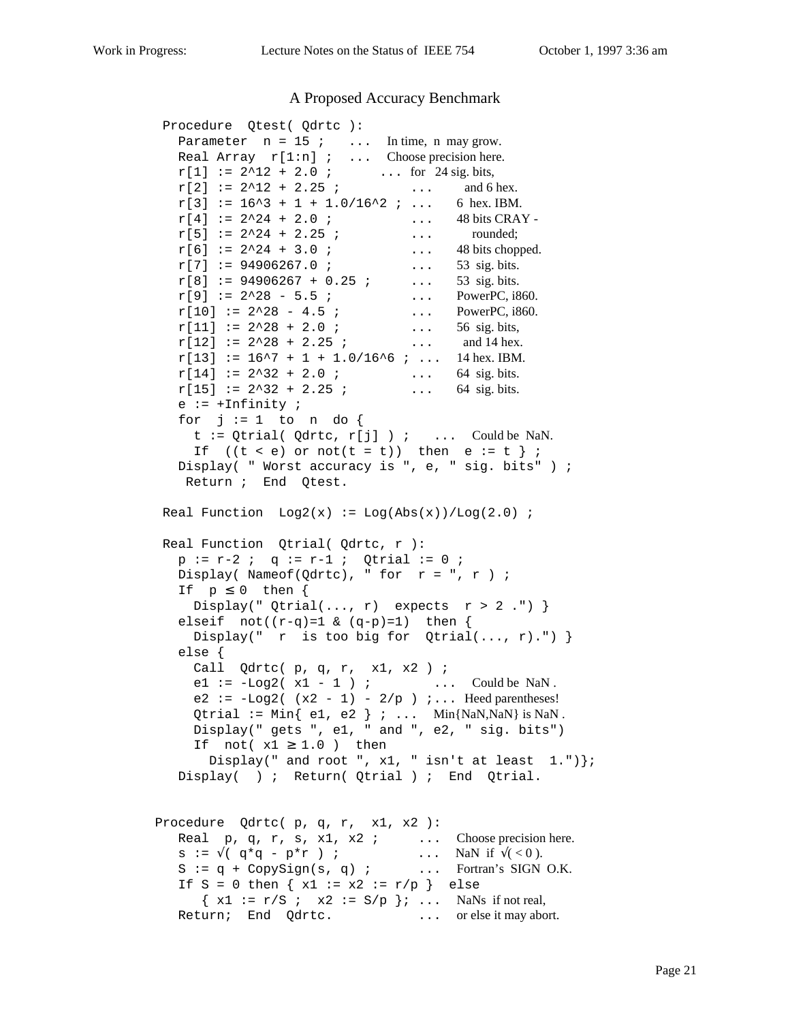# A Proposed Accuracy Benchmark

```
Procedure Otest( Odrtc ):
         Parameter n = 15 ; ... In time, n may grow.
         Real Array r[1:n] ; ... Choose precision here.
r[1] := 2^2 12 + 2.0 ; ... for 24 sig. bits,
r[2] := 2^2 \cdot 12 + 2.25 ; ... and 6 hex.
         r[3] := 16^3 + 1 + 1.0/16^2 ; ... 6 hex. IBM.
         r[4] := 2^2 4 + 2.0 ; ... 48 bits CRAY -<br>
r[5] := 2^2 24 + 2.25 ; ... rounded;
r[5] := 2^2 4 + 2.25 ; ... rounded;
r[6] := 2^24 + 3.0 ; ... 48 bits chopped.
r[7] := 94906267.0 ; ... 53 sig. bits.
r[8] := 94906267 + 0.25; ... 53 sig. bits.
r[9] := 2^2 28 - 5.5 ; ... PowerPC, i860.
r[10] := 2^2 28 - 4.5 ; ... PowerPC, i860.
r[11] := 2^2 28 + 2.0 ; ... 56 sig. bits,
r[12] := 2^2 28 + 2.25 ; ... and 14 hex.
         r[13] := 16^{\circ}7 + 1 + 1.0/16^{\circ}6 ; ... 14 hex. IBM.
r[14] := 2^3 32 + 2.0 ; ... 64 sig. bits.
r[15] := 2^3 2 + 2.25 ; ... 64 sig. bits.
         e := +Infinity ;
         for j := 1 to n do {
           t := Qtrial(Qdrtc, r[j]) ; ... Could be NaN.
           If ((t < e) or not(t = t)) then e := t ;
          Display( " Worst accuracy is ", e, " sig. bits" ) ;
           Return ; End Qtest.
       Real Function Log2(x) := Log(Abs(x))/Log(2.0) ;
        Real Function Qtrial( Qdrtc, r ):
         p := r-2 ; q := r-1 ; Qtrial := 0 ;
         Display( Nameof(Qdrtc), " for r = ", r ) ;
          If p 0 then {
           Display(" Qtrial(..., r) expects r > 2.") }
         elseif not((r-q)=1 & (q-p)=1) then {
           Display(" r is too big for Qtrial(..., r).") }
          else {
           Call Qdrtc(p, q, r, x1, x2) ;
           e1 := -Loq2(x1 - 1) ; ... Could be NaN.
           e2 := -Log2( (x2 - 1) - 2/p ); \ldots Heed parentheses!
           Qtrial := Min{e1, e2 } ; ... Min{NaN,NaN} is NaN.
            Display(" gets ", e1, " and ", e2, " sig. bits")
            If not( x1 1.0 ) then
             Display(" and root ", x1, " isn't at least 1.")};
         Display( ) ; Return( Qtrial ) ; End Qtrial.
       Procedure Qdrtc( p, q, r, x1, x2):
         Real p, q, r, s, x1, x2 ; ... Choose precision here.
s := (q^*q - p^*r) ; ... NaN if (< 0).
S := q + \text{CopySign}(s, q) ; ... Fortran's SIGN O.K.
         If S = 0 then \{ x1 := x2 := r/p \} else
            \{ x1 := r/S : x2 := S/p \}; ... NaNs if not real,
         Return; End Qdrtc. . . . or else it may abort.
```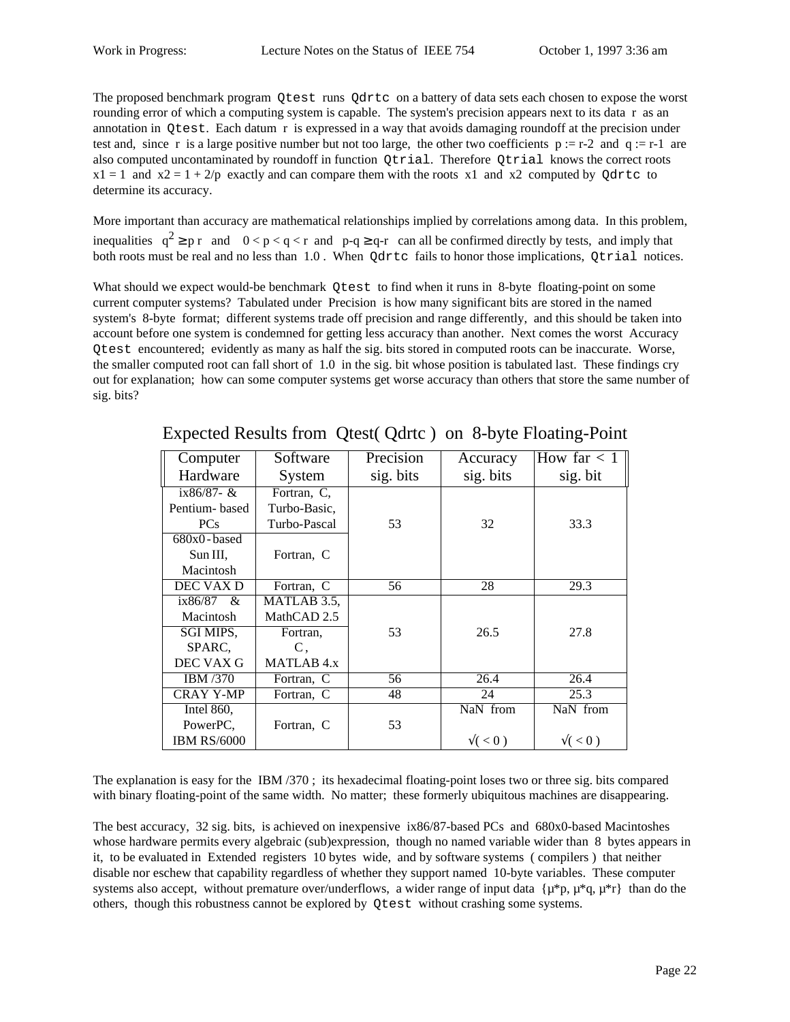The proposed benchmark program Qtest runs Qdrtc on a battery of data sets each chosen to expose the worst rounding error of which a computing system is capable. The system's precision appears next to its data r as an annotation in Qtest. Each datum r is expressed in a way that avoids damaging roundoff at the precision under test and, since r is a large positive number but not too large, the other two coefficients  $p := r-2$  and  $q := r-1$  are also computed uncontaminated by roundoff in function Qtrial. Therefore Qtrial knows the correct roots  $x1 = 1$  and  $x2 = 1 + 2/p$  exactly and can compare them with the roots x1 and x2 computed by Qdrtc to determine its accuracy.

More important than accuracy are mathematical relationships implied by correlations among data. In this problem, inequalities  $q^2$  p r and  $0 < p < q < r$  and p-q q-r can all be confirmed directly by tests, and imply that both roots must be real and no less than 1.0 . When Qdrtc fails to honor those implications, Qtrial notices.

What should we expect would-be benchmark  $Q$ test to find when it runs in 8-byte floating-point on some current computer systems? Tabulated under Precision is how many significant bits are stored in the named system's 8-byte format; different systems trade off precision and range differently, and this should be taken into account before one system is condemned for getting less accuracy than another. Next comes the worst Accuracy Qtest encountered; evidently as many as half the sig. bits stored in computed roots can be inaccurate. Worse, the smaller computed root can fall short of 1.0 in the sig. bit whose position is tabulated last. These findings cry out for explanation; how can some computer systems get worse accuracy than others that store the same number of sig. bits?

| Computer                 | Software          | Precision | Accuracy  | How far $< 1$ |
|--------------------------|-------------------|-----------|-----------|---------------|
| Hardware                 | System            | sig. bits | sig. bits | sig. bit      |
| $ix86/87 - &$            | Fortran, C,       |           |           |               |
| Pentium-based            | Turbo-Basic,      |           |           |               |
| <b>PCs</b>               | Turbo-Pascal      | 53        | 32        | 33.3          |
| $680x0$ - based          |                   |           |           |               |
| Sun III,                 | Fortran, C        |           |           |               |
| Macintosh                |                   |           |           |               |
| DEC VAX D                | Fortran, C        | 56        | 28        | 29.3          |
| $ix86/87 \&$             | MATLAB 3.5,       |           |           |               |
| Macintosh                | MathCAD 2.5       |           |           |               |
| SGI MIPS.                | Fortran,          | 53        | 26.5      | 27.8          |
| SPARC,                   | $\mathbf{C}$ .    |           |           |               |
| DEC VAX G                | <b>MATLAB 4.x</b> |           |           |               |
| IBM /370                 | Fortran, C        | 56        | 26.4      | 26.4          |
| <b>CRAY Y-MP</b>         | Fortran, C        | 48        | 24        | 25.3          |
| Intel $\overline{860}$ , |                   |           | NaN from  | NaN from      |
| PowerPC.                 | Fortran, C        | 53        |           |               |
| <b>IBM RS/6000</b>       |                   |           | (< 0)     | (< 0)         |

|  |  | Expected Results from Qtest( Qdrtc) on 8-byte Floating-Point |
|--|--|--------------------------------------------------------------|
|--|--|--------------------------------------------------------------|

The explanation is easy for the IBM /370 ; its hexadecimal floating-point loses two or three sig. bits compared with binary floating-point of the same width. No matter; these formerly ubiquitous machines are disappearing.

The best accuracy, 32 sig. bits, is achieved on inexpensive ix86/87-based PCs and 680x0-based Macintoshes whose hardware permits every algebraic (sub)expression, though no named variable wider than 8 bytes appears in it, to be evaluated in Extended registers 10 bytes wide, and by software systems ( compilers ) that neither disable nor eschew that capability regardless of whether they support named 10-byte variables. These computer systems also accept, without premature over/underflows, a wider range of input data  $\{\mu^*p, \mu^*q, \mu^*r\}$  than do the others, though this robustness cannot be explored by Qtest without crashing some systems.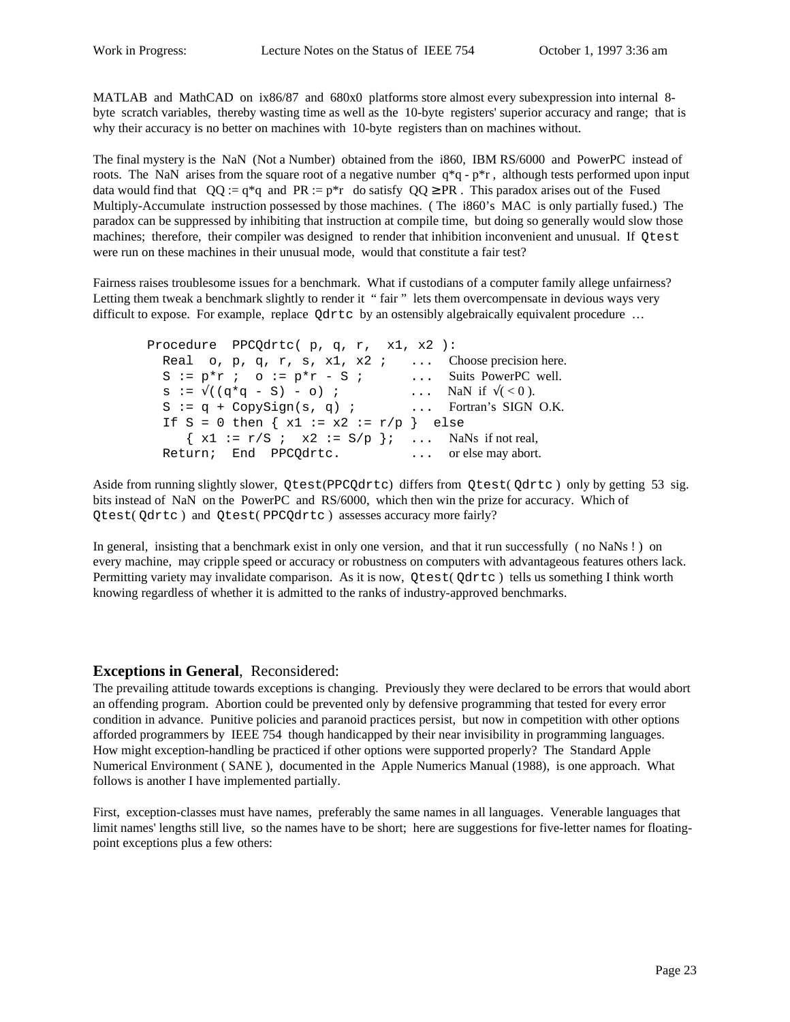MATLAB and MathCAD on ix86/87 and 680x0 platforms store almost every subexpression into internal 8byte scratch variables, thereby wasting time as well as the 10-byte registers' superior accuracy and range; that is why their accuracy is no better on machines with 10-byte registers than on machines without.

The final mystery is the NaN (Not a Number) obtained from the i860, IBM RS/6000 and PowerPC instead of roots. The NaN arises from the square root of a negative number q\*q - p\*r , although tests performed upon input data would find that  $QQ := q^*q$  and PR :=  $p^*r$  do satisfy QQ PR. This paradox arises out of the Fused Multiply-Accumulate instruction possessed by those machines. ( The i860's MAC is only partially fused.) The paradox can be suppressed by inhibiting that instruction at compile time, but doing so generally would slow those machines; therefore, their compiler was designed to render that inhibition inconvenient and unusual. If Qtest were run on these machines in their unusual mode, would that constitute a fair test?

Fairness raises troublesome issues for a benchmark. What if custodians of a computer family allege unfairness? Letting them tweak a benchmark slightly to render it " fair " lets them overcompensate in devious ways very difficult to expose. For example, replace  $Q$ drtc by an ostensibly algebraically equivalent procedure ...

Procedure PPCQdrtc( p, q, r, x1, x2): Real o,  $p$ ,  $q$ ,  $r$ ,  $s$ ,  $x1$ ,  $x2$  ; ... Choose precision here. S :=  $p * r$  ;  $o := p * r - S$  ; ... Suits PowerPC well.  $s := ((q * q - S) - o)$  ; ... NaN if  $(< 0)$ .  $S := q + \text{CopySign}(s, q)$  ; ... Fortran's SIGN O.K. If  $S = 0$  then  $\{ x1 := x2 := r/p \}$  else  $\{ x1 := r/S : x2 := S/p \}$ ; ... NaNs if not real, Return; End PPCQdrtc. . . . or else may abort.

Aside from running slightly slower, Qtest(PPCQdrtc) differs from Qtest( Qdrtc ) only by getting 53 sig. bits instead of NaN on the PowerPC and RS/6000, which then win the prize for accuracy. Which of Qtest( Qdrtc ) and Qtest( PPCQdrtc ) assesses accuracy more fairly?

In general, insisting that a benchmark exist in only one version, and that it run successfully ( no NaNs ! ) on every machine, may cripple speed or accuracy or robustness on computers with advantageous features others lack. Permitting variety may invalidate comparison. As it is now, Qtest( Qdrtc ) tells us something I think worth knowing regardless of whether it is admitted to the ranks of industry-approved benchmarks.

# **Exceptions in General**, Reconsidered:

The prevailing attitude towards exceptions is changing. Previously they were declared to be errors that would abort an offending program. Abortion could be prevented only by defensive programming that tested for every error condition in advance. Punitive policies and paranoid practices persist, but now in competition with other options afforded programmers by IEEE 754 though handicapped by their near invisibility in programming languages. How might exception-handling be practiced if other options were supported properly? The Standard Apple Numerical Environment ( SANE ), documented in the Apple Numerics Manual (1988), is one approach. What follows is another I have implemented partially.

First, exception-classes must have names, preferably the same names in all languages. Venerable languages that limit names' lengths still live, so the names have to be short; here are suggestions for five-letter names for floatingpoint exceptions plus a few others: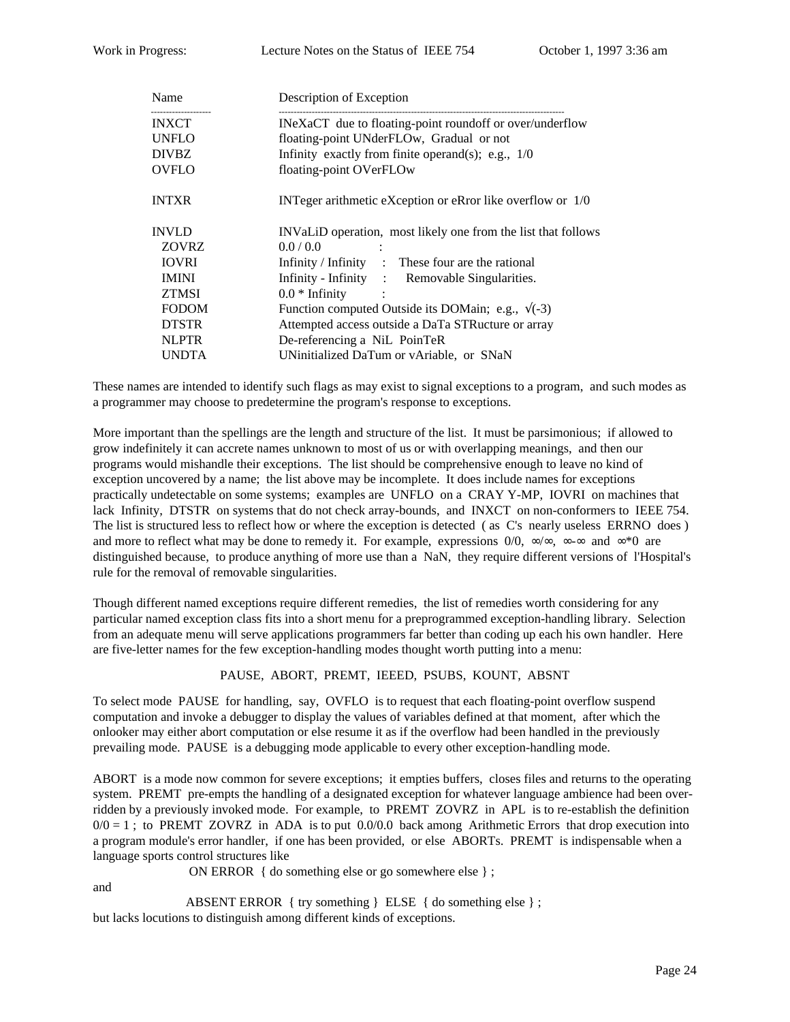and

| Name         | Description of Exception                                      |  |
|--------------|---------------------------------------------------------------|--|
| <b>INXCT</b> | INeXaCT due to floating-point roundoff or over/underflow      |  |
| <b>UNFLO</b> | floating-point UNderFLOw, Gradual or not                      |  |
| <b>DIVBZ</b> | Infinity exactly from finite operand(s); e.g., $1/0$          |  |
| <b>OVFLO</b> | floating-point OVerFLOw                                       |  |
| <b>INTXR</b> | INTeger arithmetic eXception or eRror like overflow or 1/0    |  |
| <b>INVLD</b> | INVaLiD operation, most likely one from the list that follows |  |
| <b>ZOVRZ</b> | 0.0 / 0.0                                                     |  |
| <b>IOVRI</b> | Infinity / Infinity : These four are the rational             |  |
| <b>IMINI</b> | Infinity - Infinity : Removable Singularities.                |  |
| <b>ZTMSI</b> | $0.0*$ Infinity                                               |  |
| <b>FODOM</b> | Function computed Outside its DOMain; e.g., (-3)              |  |
| <b>DTSTR</b> | Attempted access outside a DaTa STRucture or array            |  |
| <b>NLPTR</b> | De-referencing a NiL PoinTeR                                  |  |
| <b>UNDTA</b> | UNinitialized DaTum or vAriable, or SNaN                      |  |

These names are intended to identify such flags as may exist to signal exceptions to a program, and such modes as a programmer may choose to predetermine the program's response to exceptions.

More important than the spellings are the length and structure of the list. It must be parsimonious; if allowed to grow indefinitely it can accrete names unknown to most of us or with overlapping meanings, and then our programs would mishandle their exceptions. The list should be comprehensive enough to leave no kind of exception uncovered by a name; the list above may be incomplete. It does include names for exceptions practically undetectable on some systems; examples are UNFLO on a CRAY Y-MP, IOVRI on machines that lack Infinity, DTSTR on systems that do not check array-bounds, and INXCT on non-conformers to IEEE 754. The list is structured less to reflect how or where the exception is detected ( as C's nearly useless ERRNO does ) and more to reflect what may be done to remedy it. For example, expressions  $0/0$ ,  $/$ , - and \*0 are distinguished because, to produce anything of more use than a NaN, they require different versions of l'Hospital's rule for the removal of removable singularities.

Though different named exceptions require different remedies, the list of remedies worth considering for any particular named exception class fits into a short menu for a preprogrammed exception-handling library. Selection from an adequate menu will serve applications programmers far better than coding up each his own handler. Here are five-letter names for the few exception-handling modes thought worth putting into a menu:

PAUSE, ABORT, PREMT, IEEED, PSUBS, KOUNT, ABSNT

To select mode PAUSE for handling, say, OVFLO is to request that each floating-point overflow suspend computation and invoke a debugger to display the values of variables defined at that moment, after which the onlooker may either abort computation or else resume it as if the overflow had been handled in the previously prevailing mode. PAUSE is a debugging mode applicable to every other exception-handling mode.

ABORT is a mode now common for severe exceptions; it empties buffers, closes files and returns to the operating system. PREMT pre-empts the handling of a designated exception for whatever language ambience had been overridden by a previously invoked mode. For example, to PREMT ZOVRZ in APL is to re-establish the definition  $0/0 = 1$ ; to PREMT ZOVRZ in ADA is to put 0.0/0.0 back among Arithmetic Errors that drop execution into a program module's error handler, if one has been provided, or else ABORTs. PREMT is indispensable when a language sports control structures like

ON ERROR { do something else or go somewhere else } ;

ABSENT ERROR { try something } ELSE { do something else } ; but lacks locutions to distinguish among different kinds of exceptions.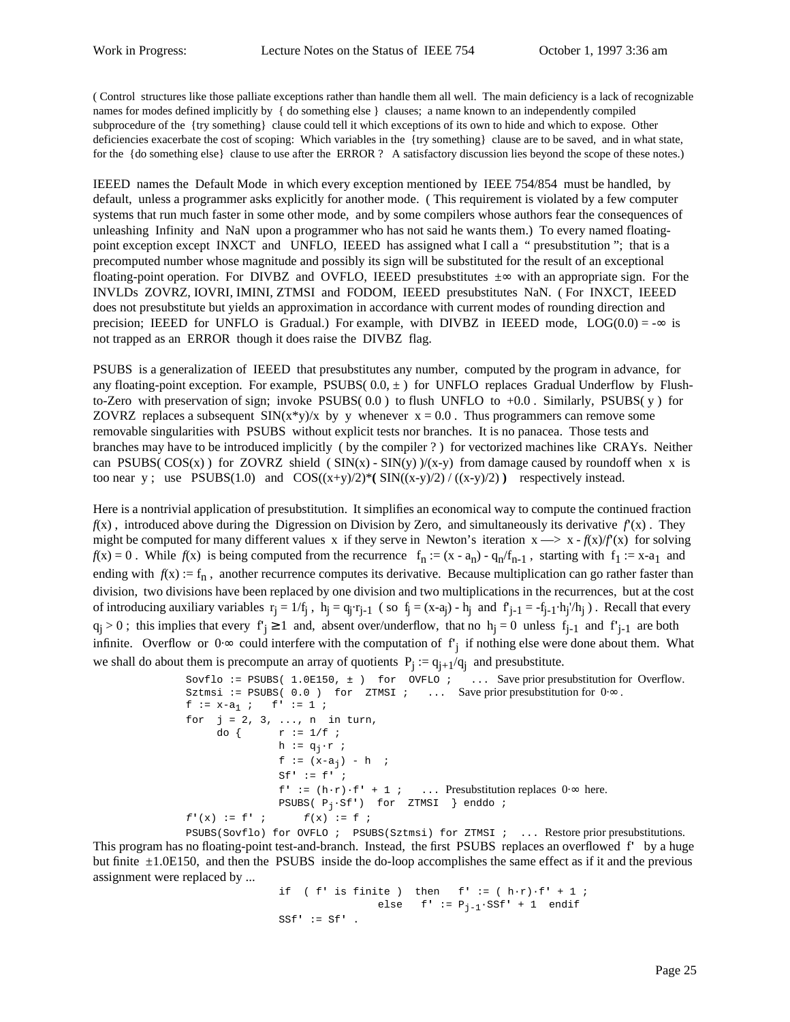( Control structures like those palliate exceptions rather than handle them all well. The main deficiency is a lack of recognizable names for modes defined implicitly by { do something else } clauses; a name known to an independently compiled subprocedure of the {try something} clause could tell it which exceptions of its own to hide and which to expose. Other deficiencies exacerbate the cost of scoping: Which variables in the {try something} clause are to be saved, and in what state, for the {do something else} clause to use after the ERROR ? A satisfactory discussion lies beyond the scope of these notes.)

IEEED names the Default Mode in which every exception mentioned by IEEE 754/854 must be handled, by default, unless a programmer asks explicitly for another mode. ( This requirement is violated by a few computer systems that run much faster in some other mode, and by some compilers whose authors fear the consequences of unleashing Infinity and NaN upon a programmer who has not said he wants them.) To every named floatingpoint exception except INXCT and UNFLO, IEEED has assigned what I call a " presubstitution "; that is a precomputed number whose magnitude and possibly its sign will be substituted for the result of an exceptional floating-point operation. For DIVBZ and OVFLO, IEEED presubstitutes  $\pm$  with an appropriate sign. For the INVLDs ZOVRZ, IOVRI, IMINI, ZTMSI and FODOM, IEEED presubstitutes NaN. ( For INXCT, IEEED does not presubstitute but yields an approximation in accordance with current modes of rounding direction and precision; IEEED for UNFLO is Gradual.) For example, with DIVBZ in IEEED mode,  $LOG(0.0) = -$  is not trapped as an ERROR though it does raise the DIVBZ flag.

PSUBS is a generalization of IEEED that presubstitutes any number, computed by the program in advance, for any floating-point exception. For example, PSUBS( $0.0, \pm$ ) for UNFLO replaces Gradual Underflow by Flushto-Zero with preservation of sign; invoke PSUBS( $0.0$ ) to flush UNFLO to  $+0.0$ . Similarly, PSUBS( $v$ ) for ZOVRZ replaces a subsequent  $\text{SIN}(x^*y)/x$  by y whenever  $x = 0.0$ . Thus programmers can remove some removable singularities with PSUBS without explicit tests nor branches. It is no panacea. Those tests and branches may have to be introduced implicitly ( by the compiler ? ) for vectorized machines like CRAYs. Neither can PSUBS( $COS(x)$ ) for ZOVRZ shield ( $SIN(x)$  -  $SIN(y)/(x-y)$  from damage caused by roundoff when x is too near y; use PSUBS(1.0) and  $\text{COS}((x+y)/2)^*(\text{SIN}((x-y)/2) / ((x-y)/2))$  respectively instead.

Here is a nontrivial application of presubstitution. It simplifies an economical way to compute the continued fraction  $f(x)$ , introduced above during the Digression on Division by Zero, and simultaneously its derivative  $f'(x)$ . They might be computed for many different values x if they serve in Newton's iteration  $x \rightarrow x$  -  $f(x)/f'(x)$  for solving  $f(x) = 0$ . While  $f(x)$  is being computed from the recurrence  $f_n := (x - a_n) - q_n / f_{n-1}$ , starting with  $f_1 := x - a_1$  and ending with  $f(x) := f_n$ , another recurrence computes its derivative. Because multiplication can go rather faster than division, two divisions have been replaced by one division and two multiplications in the recurrences, but at the cost of introducing auxiliary variables  $r_j = 1/f_j$ ,  $h_j = q_j \cdot r_{j-1}$  (so  $f_j = (x-a_j) - h_j$  and  $f_{j-1} = -f_{j-1} \cdot h_j/h_j$ ). Recall that every  $q_j > 0$ ; this implies that every  $f_j$  1 and, absent over/underflow, that no  $h_j = 0$  unless  $f_{j-1}$  and  $f_{j-1}$  are both infinite. Overflow or 0· could interfere with the computation of f**'** j if nothing else were done about them. What we shall do about them is precompute an array of quotients  $P_j := q_{j+1}/q_j$  and presubstitute.

```
Sovflo := PSUBS( 1.0E150, \pm ) for OVFLO ; ... Save prior presubstitution for Overflow.
Sztmsi := PSUBS( 0.0 ) for ZTMSI ; ... Save prior presubstitution for 0· .
\mathtt{f}\ \mathrel{\mathop:}=\ \mathtt{x}\text{-a}_1\ \mathrel{\mathop:}\quad \mathtt{f}\mathrel{\mathop:}\ \mathrel{\mathop:}=\ \mathtt{1}\ \mathrel{\mathop:}for j = 2, 3, \ldots, n in turn,
       do { r := 1/f ;h := q_i \cdot r ;
                     f := (x-a_j) - h ;
                     Sf' := f' ;
                      f' := (h \cdot r) \cdot f' + 1 ; ... Presubstitution replaces 0 here.
                      PSUBS( Pj·Sf') for ZTMSI } enddo ;
f'(\mathbf{x}) := f' ; f(\mathbf{x}) := f ;
```
PSUBS(Sovflo) for OVFLO ; PSUBS(Sztmsi) for ZTMSI ; ... Restore prior presubstitutions. This program has no floating-point test-and-branch. Instead, the first PSUBS replaces an overflowed f**'** by a huge but finite ±1.0E150, and then the PSUBS inside the do-loop accomplishes the same effect as if it and the previous assignment were replaced by ...

if ( f**'** is finite ) then f**'** := ( h·r)·f**'** + 1 ; else f**'** := Pj-1·SSf**'** + 1 endif SSf**'** := Sf**'** .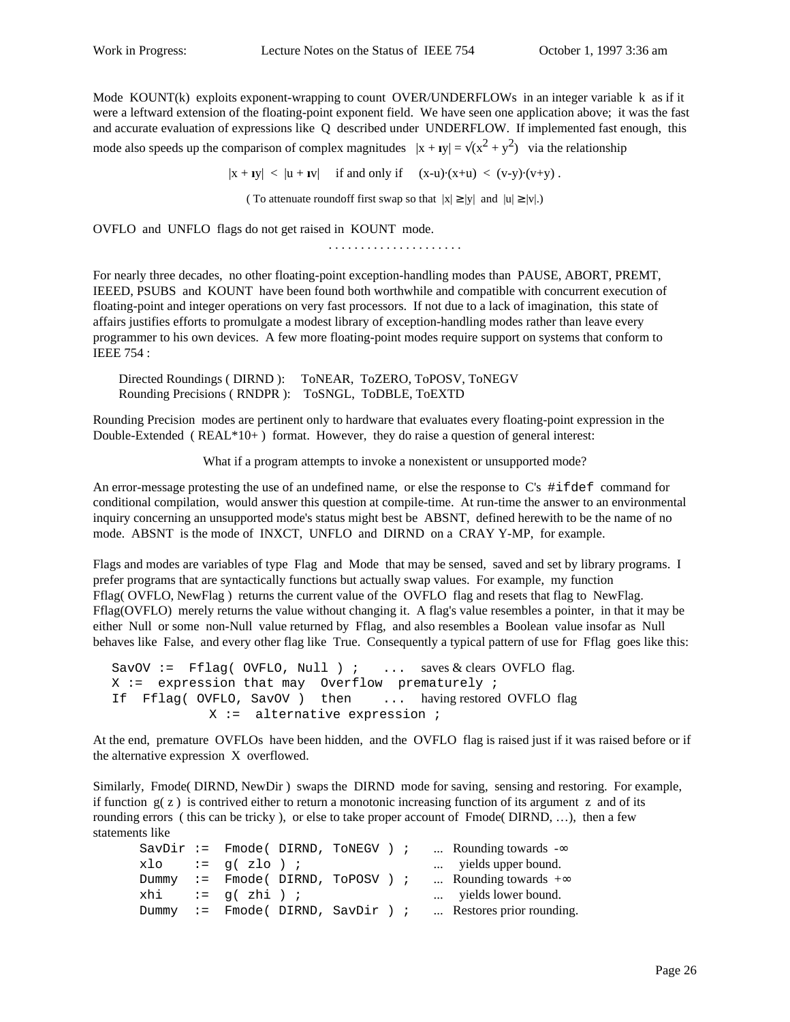Mode  $KOUNT(k)$  exploits exponent-wrapping to count OVER/UNDERFLOWs in an integer variable k as if it were a leftward extension of the floating-point exponent field. We have seen one application above; it was the fast and accurate evaluation of expressions like Q described under UNDERFLOW. If implemented fast enough, this mode also speeds up the comparison of complex magnitudes  $|x + iy| = (x^2 + y^2)$  via the relationship

 $|x + \mathbf{i}y| < |u + \mathbf{i}v|$  if and only if  $(x-u) \cdot (x+u) < (v-y) \cdot (v+y)$ .

( To attenuate roundoff first swap so that  $|x|$  |y| and  $|u|$  |v|.)

OVFLO and UNFLO flags do not get raised in KOUNT mode.

. . . . . . . . . . . . . . . . . . . . .

For nearly three decades, no other floating-point exception-handling modes than PAUSE, ABORT, PREMT, IEEED, PSUBS and KOUNT have been found both worthwhile and compatible with concurrent execution of floating-point and integer operations on very fast processors. If not due to a lack of imagination, this state of affairs justifies efforts to promulgate a modest library of exception-handling modes rather than leave every programmer to his own devices. A few more floating-point modes require support on systems that conform to IEEE 754 :

 Directed Roundings ( DIRND ): ToNEAR, ToZERO, ToPOSV, ToNEGV Rounding Precisions ( RNDPR ): ToSNGL, ToDBLE, ToEXTD

Rounding Precision modes are pertinent only to hardware that evaluates every floating-point expression in the Double-Extended ( REAL\*10+ ) format. However, they do raise a question of general interest:

What if a program attempts to invoke a nonexistent or unsupported mode?

An error-message protesting the use of an undefined name, or else the response to C's #ifdef command for conditional compilation, would answer this question at compile-time. At run-time the answer to an environmental inquiry concerning an unsupported mode's status might best be ABSNT, defined herewith to be the name of no mode. ABSNT is the mode of INXCT, UNFLO and DIRND on a CRAY Y-MP, for example.

Flags and modes are variables of type Flag and Mode that may be sensed, saved and set by library programs. I prefer programs that are syntactically functions but actually swap values. For example, my function Fflag( OVFLO, NewFlag ) returns the current value of the OVFLO flag and resets that flag to NewFlag. Fflag(OVFLO) merely returns the value without changing it. A flag's value resembles a pointer, in that it may be either Null or some non-Null value returned by Fflag, and also resembles a Boolean value insofar as Null behaves like False, and every other flag like True. Consequently a typical pattern of use for Fflag goes like this:

SavOV := Fflag( OVFLO, Null ) ; ... saves & clears OVFLO flag.  $X :=$  expression that may Overflow prematurely  $i$  If Fflag( OVFLO, SavOV ) then ... having restored OVFLO flag  $X :=$  alternative expression  $i$ 

At the end, premature OVFLOs have been hidden, and the OVFLO flag is raised just if it was raised before or if the alternative expression X overflowed.

Similarly, Fmode( DIRND, NewDir ) swaps the DIRND mode for saving, sensing and restoring. For example, if function  $g(z)$  is contrived either to return a monotonic increasing function of its argument z and of its rounding errors ( this can be tricky), or else to take proper account of  $F_{\text{model}}(DIRND, ...)$ , then a few statements like

```
SavDir := Fmode( DIRND, TONEGV ) ; ... Rounding towards -
xlo := g( zlo ) ; ... yields upper bound.
Dummy := Fmode( DIRND, ToPOSV ) ; ... Rounding towards +
xhi := g( zhi) ; ... yields lower bound.
Dummy := Fmode( DIRND, SavDir ) ; ... Restores prior rounding.
```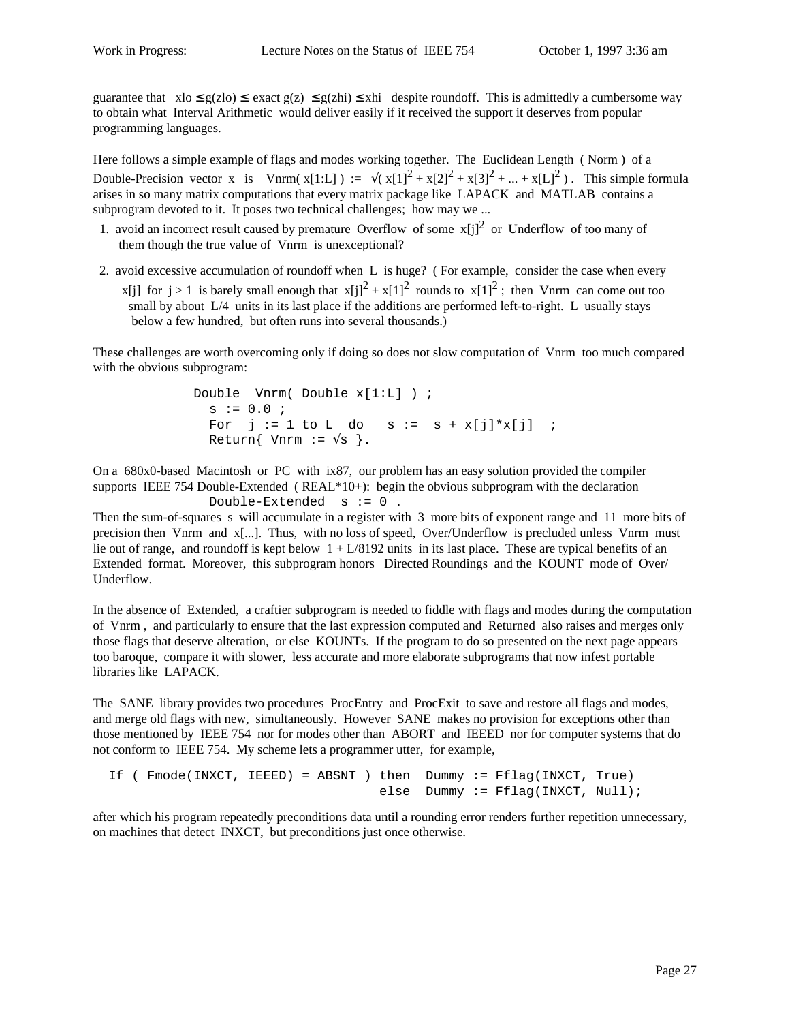guarantee that xlo  $g(z)$  exact  $g(z)$  g(zhi) xhi despite roundoff. This is admittedly a cumbersome way to obtain what Interval Arithmetic would deliver easily if it received the support it deserves from popular programming languages.

Here follows a simple example of flags and modes working together. The Euclidean Length ( Norm ) of a Double-Precision vector x is Vnrm( $x[1:L]$ ) :=  $(x[1]^2 + x[2]^2 + x[3]^2 + ... + x[L]^2)$ . This simple formula arises in so many matrix computations that every matrix package like LAPACK and MATLAB contains a subprogram devoted to it. It poses two technical challenges; how may we ...

- 1. avoid an incorrect result caused by premature Overflow of some  $x[j]^2$  or Underflow of too many of them though the true value of Vnrm is unexceptional?
- 2. avoid excessive accumulation of roundoff when L is huge? ( For example, consider the case when every x[j] for  $j > 1$  is barely small enough that  $x[j]^2 + x[1]^2$  rounds to  $x[1]^2$ ; then Vnrm can come out too small by about  $L/4$  units in its last place if the additions are performed left-to-right. L usually stays below a few hundred, but often runs into several thousands.)

These challenges are worth overcoming only if doing so does not slow computation of Vnrm too much compared with the obvious subprogram:

> Double Vnrm( Double x[1:L] ) ;  $s := 0.0$  ; For  $j := 1$  to L do  $s := s + x[j]*x[j]$  ; Return{ Vnrm  $:=$  s }.

On a 680x0-based Macintosh or PC with ix87, our problem has an easy solution provided the compiler supports IEEE 754 Double-Extended ( REAL\*10+): begin the obvious subprogram with the declaration Double-Extended  $s := 0$ .

Then the sum-of-squares s will accumulate in a register with 3 more bits of exponent range and 11 more bits of precision then Vnrm and x[...]. Thus, with no loss of speed, Over/Underflow is precluded unless Vnrm must lie out of range, and roundoff is kept below  $1 + L/8192$  units in its last place. These are typical benefits of an Extended format. Moreover, this subprogram honors Directed Roundings and the KOUNT mode of Over/ Underflow.

In the absence of Extended, a craftier subprogram is needed to fiddle with flags and modes during the computation of Vnrm , and particularly to ensure that the last expression computed and Returned also raises and merges only those flags that deserve alteration, or else KOUNTs. If the program to do so presented on the next page appears too baroque, compare it with slower, less accurate and more elaborate subprograms that now infest portable libraries like LAPACK.

The SANE library provides two procedures ProcEntry and ProcExit to save and restore all flags and modes, and merge old flags with new, simultaneously. However SANE makes no provision for exceptions other than those mentioned by IEEE 754 nor for modes other than ABORT and IEEED nor for computer systems that do not conform to IEEE 754. My scheme lets a programmer utter, for example,

```
 If ( Fmode(INXCT, IEEED) = ABSNT ) then Dummy := Fflag(INXCT, True)
                                    else Dummy := Fflag(INXCT, Null);
```
after which his program repeatedly preconditions data until a rounding error renders further repetition unnecessary, on machines that detect INXCT, but preconditions just once otherwise.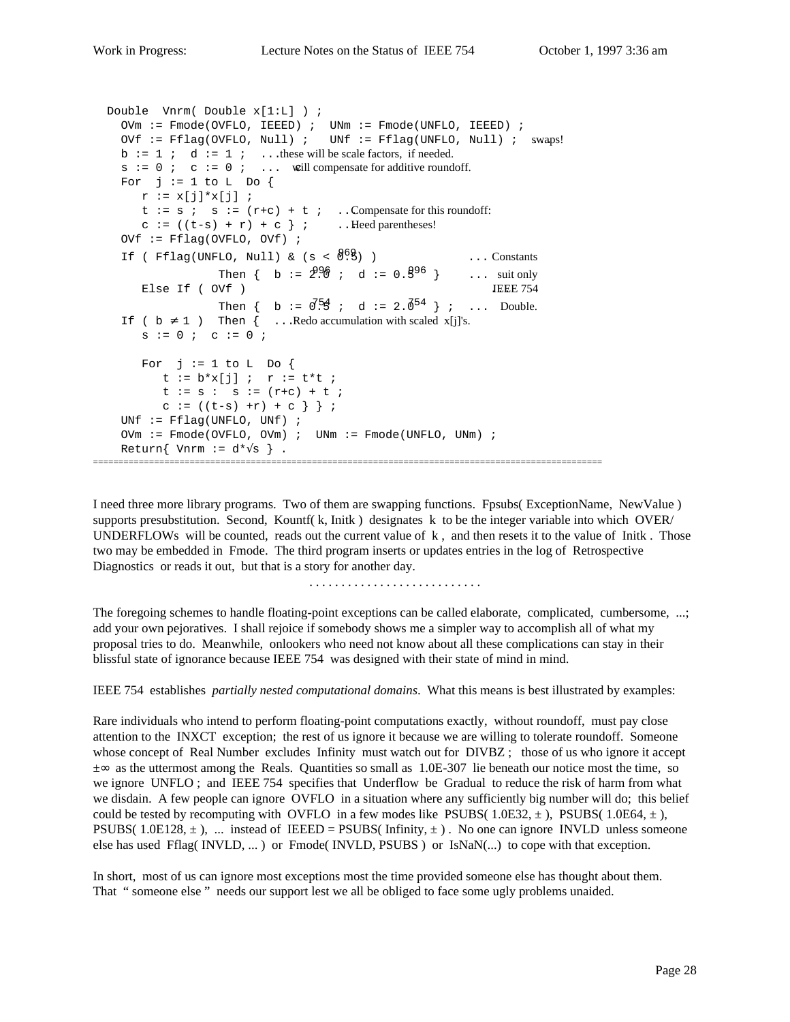```
 Double Vnrm( Double x[1:L] ) ;
    OVm := Fmode(OVFLO, IEEED) ; UNm := Fmode(UNFLO, IEEED) ;
   OVf := Fflag(OVFLO, Null) ; UNf := Fflag(UNFLO, Null) ; swaps!
   b := 1 ; d := 1 ; ... these will be scale factors, if needed.
    s := 0 ; c := 0 ; ... well compensate for additive roundoff.
    For j := 1 to L Do \{r := x[j]*x[j] ;
       t := s ; s := (r+c) + t ; . Compensate for this roundoff:
       c := ((t-s) + r) + c ; ... Heed parentheses!
     OVf := Fflag(OVFLO, OVf) ;
    If ( Fflag(UNFLO, Null) & (s < \theta<sup>68</sup>) ) ... Constants
                   Then \{ b := 2^9\% : d := 0.8^{96} \} \dots suit only
       Else If ( OVf ) ... IEEE 754
                   Then \{ b := 0.54 \} ; d := 2.0<sup>54</sup> } ; ... Double.
    If ( \mathbf{b} 1 ) Then \{ \dots \text{.Redo accumulation with scaled x[j]'s.} \}s := 0 ; c := 0 ;
       For j := 1 to L Do \{t := b * x[j] ; r := t * t ;
          t := s : s := (r+c) + t;c := ((t-s) + r) + c \} ; UNf := Fflag(UNFLO, UNf) ;
     OVm := Fmode(OVFLO, OVm) ; UNm := Fmode(UNFLO, UNm) ;
   Return{ Vnrm := d* s }.
====================================================================================================
```
I need three more library programs. Two of them are swapping functions. Fpsubs( ExceptionName, NewValue ) supports presubstitution. Second, Kountf( k, Initk ) designates k to be the integer variable into which OVER/ UNDERFLOWs will be counted, reads out the current value of k , and then resets it to the value of Initk . Those two may be embedded in Fmode. The third program inserts or updates entries in the log of Retrospective Diagnostics or reads it out, but that is a story for another day.

. . . . . . . . . . . . . . . . . . . . . . . . . . .

The foregoing schemes to handle floating-point exceptions can be called elaborate, complicated, cumbersome, ...; add your own pejoratives. I shall rejoice if somebody shows me a simpler way to accomplish all of what my proposal tries to do. Meanwhile, onlookers who need not know about all these complications can stay in their blissful state of ignorance because IEEE 754 was designed with their state of mind in mind.

IEEE 754 establishes *partially nested computational domains*. What this means is best illustrated by examples:

Rare individuals who intend to perform floating-point computations exactly, without roundoff, must pay close attention to the INXCT exception; the rest of us ignore it because we are willing to tolerate roundoff. Someone whose concept of Real Number excludes Infinity must watch out for DIVBZ; those of us who ignore it accept  $\pm$  as the uttermost among the Reals. Quantities so small as 1.0E-307 lie beneath our notice most the time, so we ignore UNFLO ; and IEEE 754 specifies that Underflow be Gradual to reduce the risk of harm from what we disdain. A few people can ignore OVFLO in a situation where any sufficiently big number will do; this belief could be tested by recomputing with OVFLO in a few modes like PSUBS(  $1.0E32, \pm$  ), PSUBS(  $1.0E64, \pm$  ), PSUBS( 1.0E128,  $\pm$  ), ... instead of IEEED = PSUBS( Infinity,  $\pm$  ). No one can ignore INVLD unless someone else has used Fflag( INVLD, ... ) or Fmode( INVLD, PSUBS ) or IsNaN(...) to cope with that exception.

In short, most of us can ignore most exceptions most the time provided someone else has thought about them. That " someone else " needs our support lest we all be obliged to face some ugly problems unaided.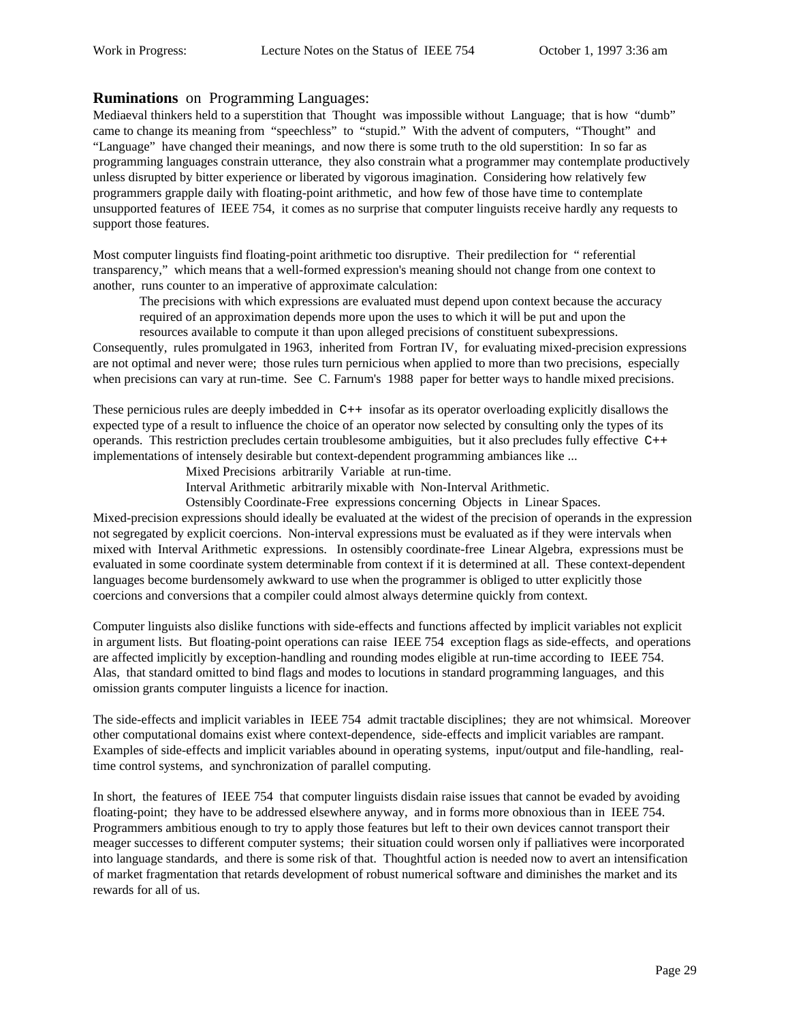# **Ruminations** on Programming Languages:

Mediaeval thinkers held to a superstition that Thought was impossible without Language; that is how "dumb" came to change its meaning from "speechless" to "stupid." With the advent of computers, "Thought" and "Language" have changed their meanings, and now there is some truth to the old superstition: In so far as programming languages constrain utterance, they also constrain what a programmer may contemplate productively unless disrupted by bitter experience or liberated by vigorous imagination. Considering how relatively few programmers grapple daily with floating-point arithmetic, and how few of those have time to contemplate unsupported features of IEEE 754, it comes as no surprise that computer linguists receive hardly any requests to support those features.

Most computer linguists find floating-point arithmetic too disruptive. Their predilection for " referential transparency," which means that a well-formed expression's meaning should not change from one context to another, runs counter to an imperative of approximate calculation:

The precisions with which expressions are evaluated must depend upon context because the accuracy required of an approximation depends more upon the uses to which it will be put and upon the

resources available to compute it than upon alleged precisions of constituent subexpressions. Consequently, rules promulgated in 1963, inherited from Fortran IV, for evaluating mixed-precision expressions are not optimal and never were; those rules turn pernicious when applied to more than two precisions, especially when precisions can vary at run-time. See C. Farnum's 1988 paper for better ways to handle mixed precisions.

These pernicious rules are deeply imbedded in C++ insofar as its operator overloading explicitly disallows the expected type of a result to influence the choice of an operator now selected by consulting only the types of its operands. This restriction precludes certain troublesome ambiguities, but it also precludes fully effective C++ implementations of intensely desirable but context-dependent programming ambiances like ...

Mixed Precisions arbitrarily Variable at run-time.

Interval Arithmetic arbitrarily mixable with Non-Interval Arithmetic.

Ostensibly Coordinate-Free expressions concerning Objects in Linear Spaces.

Mixed-precision expressions should ideally be evaluated at the widest of the precision of operands in the expression not segregated by explicit coercions. Non-interval expressions must be evaluated as if they were intervals when mixed with Interval Arithmetic expressions. In ostensibly coordinate-free Linear Algebra, expressions must be evaluated in some coordinate system determinable from context if it is determined at all. These context-dependent languages become burdensomely awkward to use when the programmer is obliged to utter explicitly those coercions and conversions that a compiler could almost always determine quickly from context.

Computer linguists also dislike functions with side-effects and functions affected by implicit variables not explicit in argument lists. But floating-point operations can raise IEEE 754 exception flags as side-effects, and operations are affected implicitly by exception-handling and rounding modes eligible at run-time according to IEEE 754. Alas, that standard omitted to bind flags and modes to locutions in standard programming languages, and this omission grants computer linguists a licence for inaction.

The side-effects and implicit variables in IEEE 754 admit tractable disciplines; they are not whimsical. Moreover other computational domains exist where context-dependence, side-effects and implicit variables are rampant. Examples of side-effects and implicit variables abound in operating systems, input/output and file-handling, realtime control systems, and synchronization of parallel computing.

In short, the features of IEEE 754 that computer linguists disdain raise issues that cannot be evaded by avoiding floating-point; they have to be addressed elsewhere anyway, and in forms more obnoxious than in IEEE 754. Programmers ambitious enough to try to apply those features but left to their own devices cannot transport their meager successes to different computer systems; their situation could worsen only if palliatives were incorporated into language standards, and there is some risk of that. Thoughtful action is needed now to avert an intensification of market fragmentation that retards development of robust numerical software and diminishes the market and its rewards for all of us.